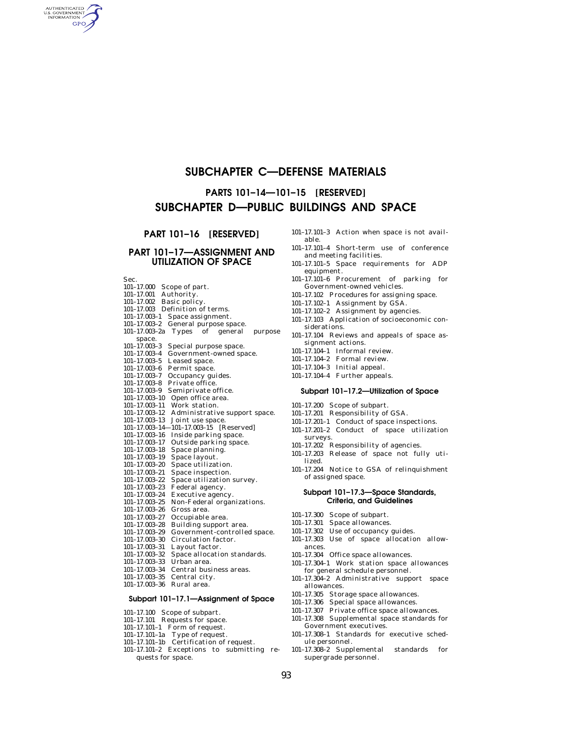## **SUBCHAPTER C—DEFENSE MATERIALS**

## **PARTS 101–14—101–15 [RESERVED] SUBCHAPTER D—PUBLIC BUILDINGS AND SPACE**

**PART 101–16 [RESERVED]**

## **PART 101–17—ASSIGNMENT AND UTILIZATION OF SPACE**

 $\frac{S}{10}$ 

AUTHENTICATED<br>U.S. GOVERNMENT<br>INFORMATION **GPO** 

| Sec.                                         |                               |
|----------------------------------------------|-------------------------------|
| 101-17.000<br>Scope of part.                 |                               |
| Authority.<br>101-17.001                     |                               |
| Basic policy.<br>101-17.002                  |                               |
| Definition of terms.<br>101-17.003           |                               |
| $101 - 17.003 - 1$<br>Space assignment.      |                               |
| $101 - 17.003 - 2$<br>General purpose space. |                               |
| Types of general<br>101-17.003-2a            | purpose                       |
| space.                                       |                               |
| $101 - 17.003 - 3$<br>Special purpose space. |                               |
| 101-17.003-4                                 | Government-owned space.       |
| Leased space.<br>$101 - 17.003 - 5$          |                               |
| Permit space.<br>$101 - 17.003 - 6$          |                               |
| $101 - 17.003 - 7$<br>Occupancy guides.      |                               |
| Private office.<br>$101 - 17.003 - 8$        |                               |
| 101-17.003-9<br>Semiprivate office.          |                               |
| Open office area.<br>101-17.003-10           |                               |
| Work station.<br>101-17.003-11               |                               |
| 101-17.003-12                                | Administrative support space. |
| 101-17.003-13<br>Joint use space.            |                               |
| $-101 - 17.003 - 15$<br>101-17.003-14-       | [Reserved]                    |
| Inside parking space.<br>101-17.003-16       |                               |
| 101-17.003-17                                | Outside parking space.        |
| Space planning.<br>101-17.003-18             |                               |
| Space layout.<br>101-17.003-19               |                               |
| 101-17.003-20<br>Space utilization.          |                               |
| 101-17.003-21<br>Space inspection.           |                               |
| 101-17.003-22                                | Space utilization survey.     |
| Federal agency.<br>101-17.003-23             |                               |
| 101-17.003-24<br>Executive agency.           |                               |
| 101-17.003-25                                | Non-Federal organizations.    |
| 101-17.003-26<br>Gross area.                 |                               |
| Occupiable area.<br>101-17.003-27            |                               |
| Building support area.<br>101-17.003-28      |                               |
| 101-17.003-29                                | Government-controlled space.  |
| 101-17.003-30<br>Circulation factor.         |                               |
| 101-17.003-31<br>Layout factor.              |                               |
| 101-17.003-32                                | Space allocation standards.   |
| 101-17.003-33<br>Urban area.                 |                               |
| 101-17.003-34                                | Central business areas.       |
| 101-17.003-35<br>Central city.               |                               |
| 101-17.003-36<br>Rural area.                 |                               |

## **Subpart 101–17.1—Assignment of Space**

- 101–17.100 Scope of subpart.
- 101–17.101 Requests for space.
- 101–17.101–1 Form of request.
- 101–17.101–1a Type of request.
- 101–17.101–1b Certification of request.
- 101–17.101–2 Exceptions to submitting requests for space.
- 101–17.101–3 Action when space is not available.
- 101–17.101–4 Short-term use of conference and meeting facilities.
- 101–17.101–5 Space requirements for ADP equipment.
- 101–17.101–6 Procurement of parking for Government-owned vehicles.
- 101–17.102 Procedures for assigning space.
- 101–17.102–1 Assignment by GSA.
- 101–17.102–2 Assignment by agencies.
- 101–17.103 Application of socioeconomic considerations.
- 101–17.104 Reviews and appeals of space assignment actions.
- 101–17.104–1 Informal review.
- 101–17.104–2 Formal review.
- 101–17.104–3 Initial appeal.
- 101–17.104–4 Further appeals.

## **Subpart 101–17.2—Utilization of Space**

101–17.200 Scope of subpart.

- 101–17.201 Responsibility of GSA.
- 101–17.201–1 Conduct of space inspections.
- 101–17.201–2 Conduct of space utilization
- surveys.
- 101–17.202 Responsibility of agencies.
- 101–17.203 Release of space not fully utilized.
- 101–17.204 Notice to GSA of relinquishment of assigned space.

## **Subpart 101–17.3—Space Standards, Criteria, and Guidelines**

- 101–17.300 Scope of subpart.
- 101–17.301 Space allowances.
- 101–17.302 Use of occupancy guides.
- 101–17.303 Use of space allocation allowances.
- 101–17.304 Office space allowances.
- 101–17.304–1 Work station space allowances
- for general schedule personnel. 101–17.304–2 Administrative support space allowances.
- 101–17.305 Storage space allowances.
- 101–17.306 Special space allowances.
- 
- 101–17.307 Private office space allowances.
- 101–17.308 Supplemental space standards for Government executives.
- 101–17.308–1 Standards for executive schedule personnel.
- 101–17.308–2 Supplemental standards for supergrade personnel.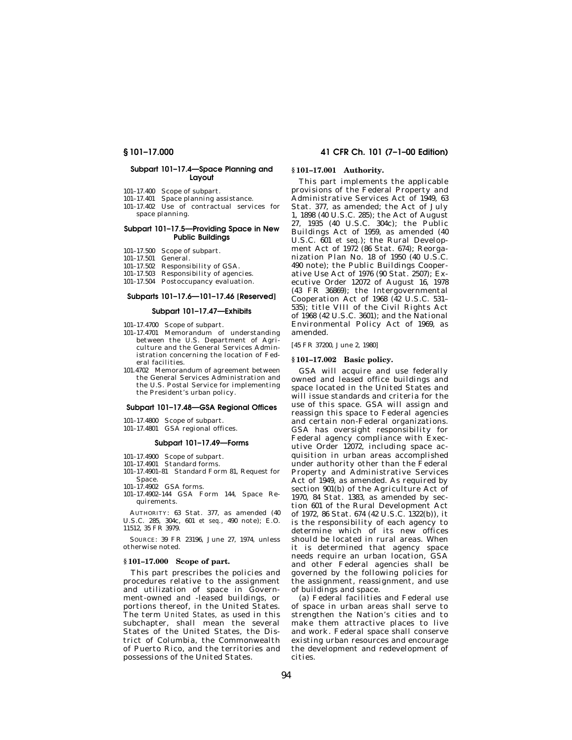## **Subpart 101–17.4—Space Planning and Layout**

- 101–17.400 Scope of subpart.
- 101–17.401 Space planning assistance.
- 101–17.402 Use of contractual services for space planning.

### **Subpart 101–17.5—Providing Space in New Public Buildings**

- 101–17.500 Scope of subpart.
- 101-17.501 General.<br>101-17.502 Responsi

## Responsibility of GSA.

- 101–17.503 Responsibility of agencies.
- 101–17.504 Postoccupancy evaluation.

## **Subparts 101–17.6—101–17.46 [Reserved]**

## **Subpart 101–17.47—Exhibits**

- 101–17.4700 Scope of subpart.
- 101–17.4701 Memorandum of understanding between the U.S. Department of Agriculture and the General Services Administration concerning the location of Federal facilities.
- 101.4702 Memorandum of agreement between the General Services Administration and the U.S. Postal Service for implementing the President's urban policy.

### **Subpart 101–17.48—GSA Regional Offices**

- 101–17.4800 Scope of subpart.
- 101–17.4801 GSA regional offices.

#### **Subpart 101–17.49—Forms**

- 101–17.4900 Scope of subpart.
- 101–17.4901 Standard forms.
- 101–17.4901–81 Standard Form 81, Request for Space.
- 101–17.4902 GSA forms.
- 101–17.4902–144 GSA Form 144, Space Requirements.

AUTHORITY: 63 Stat. 377, as amended (40 U.S.C. 285, 304c, 601 *et seq.*, 490 note); E.O. 11512, 35 FR 3979.

SOURCE: 39 FR 23196, June 27, 1974, unless otherwise noted.

#### **§ 101–17.000 Scope of part.**

This part prescribes the policies and procedures relative to the assignment and utilization of space in Government-owned and -leased buildings, or portions thereof, in the United States. The term *United States,* as used in this subchapter, shall mean the several States of the United States, the District of Columbia, the Commonwealth of Puerto Rico, and the territories and possessions of the United States.

## **§ 101–17.000 41 CFR Ch. 101 (7–1–00 Edition)**

## **§ 101–17.001 Authority.**

This part implements the applicable provisions of the Federal Property and Administrative Services Act of 1949, 63 Stat. 377, as amended; the Act of July 1, 1898 (40 U.S.C. 285); the Act of August 27, 1935 (40 U.S.C. 304c); the Public Buildings Act of 1959, as amended (40 U.S.C. 601 *et seq.*); the Rural Development Act of 1972 (86 Stat. 674); Reorganization Plan No. 18 of 1950 (40 U.S.C. 490 note); the Public Buildings Cooperative Use Act of 1976 (90 Stat. 2507); Executive Order 12072 of August 16, 1978 (43 FR 36869); the Intergovernmental Cooperation Act of 1968 (42 U.S.C. 531– 535); title VIII of the Civil Rights Act of 1968 (42 U.S.C. 3601); and the National Environmental Policy Act of 1969, as amended.

[45 FR 37200, June 2, 1980]

## **§ 101–17.002 Basic policy.**

GSA will acquire and use federally owned and leased office buildings and space located in the United States and will issue standards and criteria for the use of this space. GSA will assign and reassign this space to Federal agencies and certain non-Federal organizations. GSA has oversight responsibility for Federal agency compliance with Executive Order 12072, including space acquisition in urban areas accomplished under authority other than the Federal Property and Administrative Services Act of 1949, as amended. As required by section 901(b) of the Agriculture Act of 1970, 84 Stat. 1383, as amended by section 601 of the Rural Development Act of 1972, 86 Stat. 674 (42 U.S.C. 1322(b)), it is the responsibility of each agency to determine which of its new offices should be located in rural areas. When it is determined that agency space needs require an urban location, GSA and other Federal agencies shall be governed by the following policies for the assignment, reassignment, and use of buildings and space.

(a) Federal facilities and Federal use of space in urban areas shall serve to strengthen the Nation's cities and to make them attractive places to live and work. Federal space shall conserve existing urban resources and encourage the development and redevelopment of cities.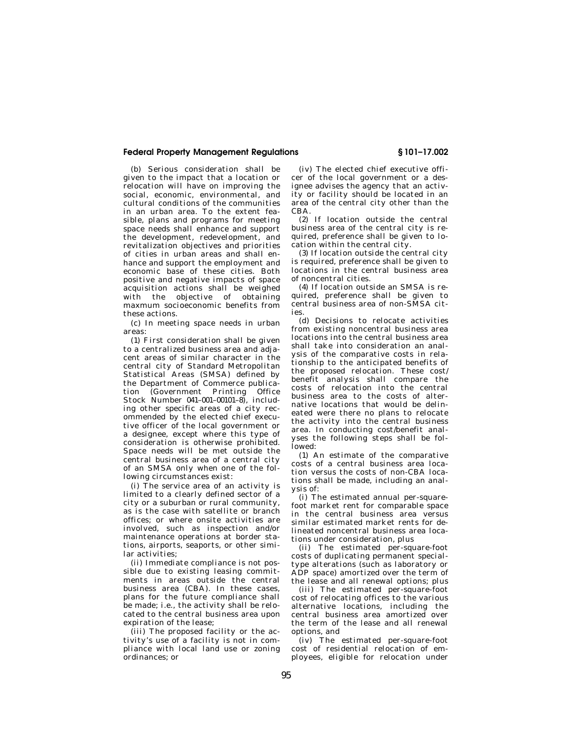## **Federal Property Management Regulations § 101–17.002**

(b) Serious consideration shall be given to the impact that a location or relocation will have on improving the social, economic, environmental, and cultural conditions of the communities in an urban area. To the extent feasible, plans and programs for meeting space needs shall enhance and support the development, redevelopment, and revitalization objectives and priorities of cities in urban areas and shall enhance and support the employment and economic base of these cities. Both positive and negative impacts of space acquisition actions shall be weighed with the objective of obtaining maxmum socioeconomic benefits from these actions.

(c) In meeting space needs in urban areas:

(1) First consideration shall be given to a centralized business area and adjacent areas of similar character in the central city of Standard Metropolitan Statistical Areas (SMSA) defined by the Department of Commerce publication (Government Printing Office Stock Number 041–001–00101–8), including other specific areas of a city recommended by the elected chief executive officer of the local government or a designee, except where this type of consideration is otherwise prohibited. Space needs will be met outside the central business area of a central city of an SMSA only when one of the following circumstances exist:

(i) The service area of an activity is limited to a clearly defined sector of a city or a suburban or rural community, as is the case with satellite or branch offices; or where onsite activities are involved, such as inspection and/or maintenance operations at border stations, airports, seaports, or other similar activities;

(ii) Immediate compliance is not possible due to existing leasing commitments in areas outside the central business area (CBA). In these cases, plans for the future compliance shall be made; i.e., the activity shall be relocated to the central business area upon expiration of the lease;

(iii) The proposed facility or the activity's use of a facility is not in compliance with local land use or zoning ordinances; or

(iv) The elected chief executive officer of the local government or a designee advises the agency that an activity or facility should be located in an area of the central city other than the CBA.

(2) If location outside the central business area of the central city is required, preference shall be given to location within the central city.

(3) If location outside the central city is required, preference shall be given to locations in the central business area of noncentral cities.

(4) If location outside an SMSA is required, preference shall be given to central business area of non-SMSA cities.

(d) Decisions to relocate activities from existing noncentral business area locations into the central business area shall take into consideration an analysis of the comparative costs in relationship to the anticipated benefits of the proposed relocation. These cost/ benefit analysis shall compare the costs of relocation into the central business area to the costs of alternative locations that would be delineated were there no plans to relocate the activity into the central business area. In conducting cost/benefit analyses the following steps shall be followed:

(1) An estimate of the comparative costs of a central business area location versus the costs of non-CBA locations shall be made, including an analysis of:

(i) The estimated annual per-squarefoot market rent for comparable space in the central business area versus similar estimated market rents for delineated noncentral business area locations under consideration, plus

(ii) The estimated per-square-foot costs of duplicating permanent specialtype alterations (such as laboratory or ADP space) amortized over the term of the lease and all renewal options; plus

(iii) The estimated per-square-foot cost of relocating offices to the various alternative locations, including the central business area amortized over the term of the lease and all renewal options, and

(iv) The estimated per-square-foot cost of residential relocation of employees, eligible for relocation under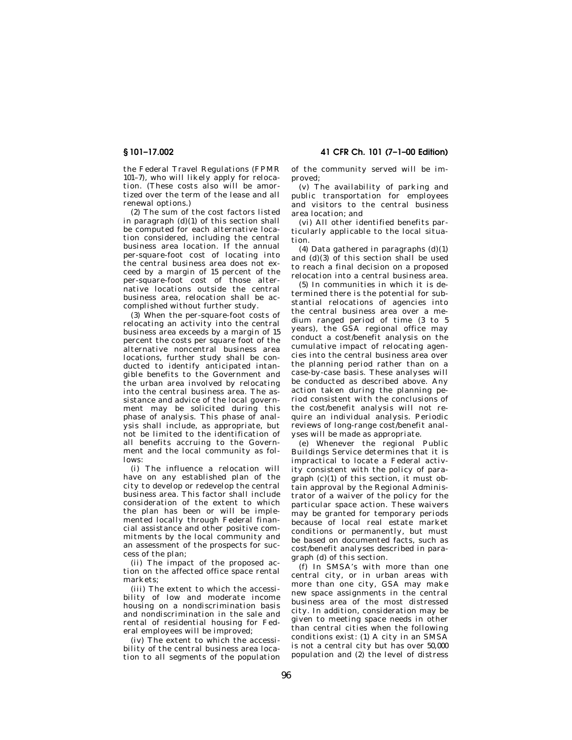**§ 101–17.002 41 CFR Ch. 101 (7–1–00 Edition)**

the Federal Travel Regulations (FPMR 101–7), who will likely apply for relocation. (These costs also will be amortized over the term of the lease and all renewal options.)

(2) The sum of the cost factors listed in paragraph (d)(1) of this section shall be computed for each alternative location considered, including the central business area location. If the annual per-square-foot cost of locating into the central business area does not exceed by a margin of 15 percent of the per-square-foot cost of those alternative locations outside the central business area, relocation shall be accomplished without further study.

(3) When the per-square-foot costs of relocating an activity into the central business area exceeds by a margin of 15 percent the costs per square foot of the alternative noncentral business area locations, further study shall be conducted to identify anticipated intangible benefits to the Government and the urban area involved by relocating into the central business area. The assistance and advice of the local government may be solicited during this phase of analysis. This phase of analysis shall include, as appropriate, but not be limited to the identification of all benefits accruing to the Government and the local community as follows:

(i) The influence a relocation will have on any established plan of the city to develop or redevelop the central business area. This factor shall include consideration of the extent to which the plan has been or will be implemented locally through Federal financial assistance and other positive commitments by the local community and an assessment of the prospects for success of the plan;

(ii) The impact of the proposed action on the affected office space rental markets;

(iii) The extent to which the accessibility of low and moderate income housing on a nondiscrimination basis and nondiscrimination in the sale and rental of residential housing for Federal employees will be improved;

(iv) The extent to which the accessibility of the central business area location to all segments of the population of the community served will be improved;

(v) The availability of parking and public transportation for employees and visitors to the central business area location; and

(vi) All other identified benefits particularly applicable to the local situation.

(4) Data gathered in paragraphs  $(d)(1)$ and (d)(3) of this section shall be used to reach a final decision on a proposed relocation into a central business area.

(5) In communities in which it is determined there is the potential for substantial relocations of agencies into the central business area over a medium ranged period of time (3 to 5 years), the GSA regional office may conduct a cost/benefit analysis on the cumulative impact of relocating agencies into the central business area over the planning period rather than on a case-by-case basis. These analyses will be conducted as described above. Any action taken during the planning period consistent with the conclusions of the cost/benefit analysis will not require an individual analysis. Periodic reviews of long-range cost/benefit analyses will be made as appropriate.

(e) Whenever the regional Public Buildings Service determines that it is impractical to locate a Federal activity consistent with the policy of paragraph (c)(1) of this section, it must obtain approval by the Regional Administrator of a waiver of the policy for the particular space action. These waivers may be granted for temporary periods because of local real estate market conditions or permanently, but must be based on documented facts, such as cost/benefit analyses described in paragraph (d) of this section.

(f) In SMSA's with more than one central city, or in urban areas with more than one city, GSA may make new space assignments in the central business area of the most distressed city. In addition, consideration may be given to meeting space needs in other than central cities when the following conditions exist: (1) A city in an SMSA is not a central city but has over 50,000 population and (2) the level of distress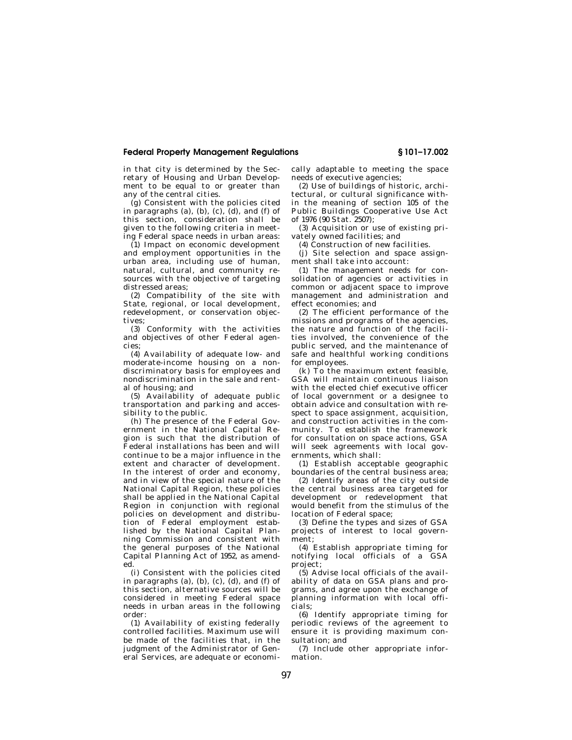## **Federal Property Management Regulations § 101–17.002**

in that city is determined by the Secretary of Housing and Urban Development to be equal to or greater than any of the central cities.

 $(g)$  Consistent with the policies cited in paragraphs  $(a)$ ,  $(b)$ ,  $(c)$ ,  $(d)$ , and  $(f)$  of this section, consideration shall be given to the following criteria in meeting Federal space needs in urban areas:

(1) Impact on economic development and employment opportunities in the urban area, including use of human, natural, cultural, and community resources with the objective of targeting distressed areas;

(2) Compatibility of the site with State, regional, or local development, redevelopment, or conservation objectives;

(3) Conformity with the activities and objectives of other Federal agencies;

(4) Availability of adequate low- and moderate-income housing on a nondiscriminatory basis for employees and nondiscrimination in the sale and rental of housing; and

(5) Availability of adequate public transportation and parking and accessibility to the public.

(h) The presence of the Federal Government in the National Capital Region is such that the distribution of Federal installations has been and will continue to be a major influence in the extent and character of development. In the interest of order and economy, and in view of the special nature of the National Capital Region, these policies shall be applied in the National Capital Region in conjunction with regional policies on development and distribu-.<br>tion of Federal employment established by the National Capital Planning Commission and consistent with the general purposes of the National Capital Planning Act of 1952, as amended.

(i) Consistent with the policies cited in paragraphs (a), (b),  $(c)$ ,  $(d)$ , and  $(f)$  of this section, alternative sources will be considered in meeting Federal space needs in urban areas in the following order:

(1) Availability of existing federally controlled facilities. Maximum use will be made of the facilities that, in the judgment of the Administrator of General Services, are adequate or economically adaptable to meeting the space needs of executive agencies;

(2) Use of buildings of historic, architectural, or cultural significance within the meaning of section 105 of the Public Buildings Cooperative Use Act of 1976 (90 Stat. 2507);

(3) Acquisition or use of existing privately owned facilities; and

(4) Construction of new facilities.

(j) Site selection and space assignment shall take into account:

(1) The management needs for consolidation of agencies or activities in common or adjacent space to improve management and administration and effect economies; and

(2) The efficient performance of the missions and programs of the agencies, the nature and function of the facilities involved, the convenience of the public served, and the maintenance of safe and healthful working conditions for employees.

(k) To the maximum extent feasible, GSA will maintain continuous liaison with the elected chief executive officer of local government or a designee to obtain advice and consultation with respect to space assignment, acquisition, and construction activities in the community. To establish the framework for consultation on space actions, GSA will seek agreements with local governments, which shall:

(1) Establish acceptable geographic boundaries of the central business area;

(2) Identify areas of the city outside the central business area targeted for development or redevelopment that would benefit from the stimulus of the location of Federal space;

(3) Define the types and sizes of GSA projects of interest to local government;

(4) Establish appropriate timing for notifying local officials of a GSA project;

(5) Advise local officials of the availability of data on GSA plans and programs, and agree upon the exchange of planning information with local officials;

(6) Identify appropriate timing for periodic reviews of the agreement to ensure it is providing maximum consultation; and

(7) Include other appropriate information.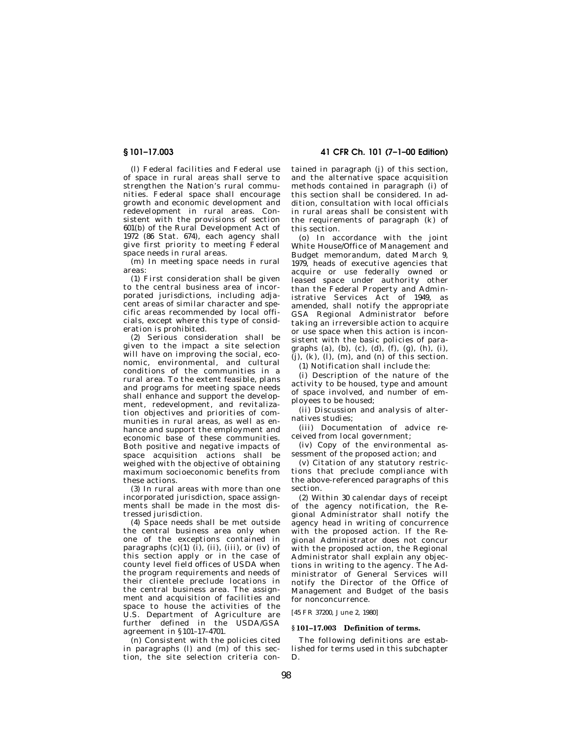(l) Federal facilities and Federal use of space in rural areas shall serve to strengthen the Nation's rural communities. Federal space shall encourage growth and economic development and redevelopment in rural areas. Consistent with the provisions of section 601(b) of the Rural Development Act of 1972 (86 Stat. 674), each agency shall give first priority to meeting Federal space needs in rural areas.

(m) In meeting space needs in rural areas:

(1) First consideration shall be given to the central business area of incorporated jurisdictions, including adjacent areas of similar character and specific areas recommended by local officials, except where this type of consideration is prohibited.

(2) Serious consideration shall be given to the impact a site selection will have on improving the social, economic, environmental, and cultural conditions of the communities in a rural area. To the extent feasible, plans and programs for meeting space needs shall enhance and support the development, redevelopment, and revitalization objectives and priorities of communities in rural areas, as well as enhance and support the employment and economic base of these communities. Both positive and negative impacts of space acquisition actions shall be weighed with the objective of obtaining maximum socioeconomic benefits from these actions.

(3) In rural areas with more than one incorporated jurisdiction, space assignments shall be made in the most distressed jurisdiction.

(4) Space needs shall be met outside the central business area only when one of the exceptions contained in paragraphs  $(c)(1)$   $(i)$ ,  $(ii)$ ,  $(iii)$ , or  $(iv)$  of this section apply or in the case of county level field offices of USDA when the program requirements and needs of their clientele preclude locations in the central business area. The assignment and acquisition of facilities and space to house the activities of the U.S. Department of Agriculture are further defined in the USDA/GSA agreement in §101–17–4701.

(n) Consistent with the policies cited in paragraphs (l) and (m) of this section, the site selection criteria con-

**§ 101–17.003 41 CFR Ch. 101 (7–1–00 Edition)**

tained in paragraph (j) of this section, and the alternative space acquisition methods contained in paragraph (i) of this section shall be considered. In addition, consultation with local officials in rural areas shall be consistent with the requirements of paragraph (k) of this section.

(o) In accordance with the joint White House/Office of Management and Budget memorandum, dated March 9, 1979, heads of executive agencies that acquire or use federally owned or leased space under authority other than the Federal Property and Administrative Services Act of 1949, as amended, shall notify the appropriate GSA Regional Administrator before taking an irreversible action to acquire or use space when this action is inconsistent with the basic policies of paragraphs (a), (b), (c), (d), (f), (g), (h), (i),  $(i)$ ,  $(k)$ ,  $(l)$ ,  $(m)$ , and  $(n)$  of this section.

(1) Notification shall include the:

(i) Description of the nature of the activity to be housed, type and amount of space involved, and number of employees to be housed;

(ii) Discussion and analysis of alternatives studies;

(iii) Documentation of advice received from local government;

(iv) Copy of the environmental assessment of the proposed action; and

(v) Citation of any statutory restrictions that preclude compliance with the above-referenced paragraphs of this section.

(2) Within 30 calendar days of receipt of the agency notification, the Regional Administrator shall notify the agency head in writing of concurrence with the proposed action. If the Regional Administrator does not concur with the proposed action, the Regional Administrator shall explain any objections in writing to the agency. The Administrator of General Services will notify the Director of the Office of Management and Budget of the basis for nonconcurrence.

[45 FR 37200, June 2, 1980]

## **§ 101–17.003 Definition of terms.**

The following definitions are established for terms used in this subchapter D.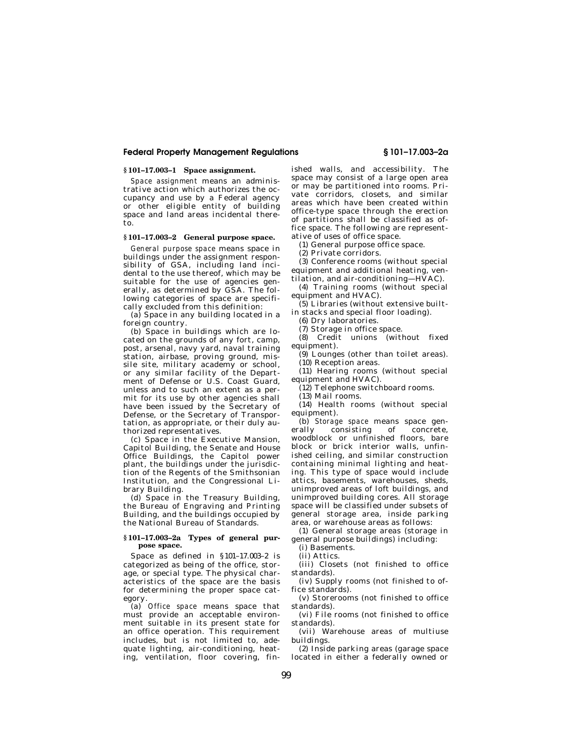## **Federal Property Management Regulations § 101–17.003–2a**

## **§ 101–17.003–1 Space assignment.**

*Space assignment* means an administrative action which authorizes the occupancy and use by a Federal agency or other eligible entity of building space and land areas incidental thereto.

## **§ 101–17.003–2 General purpose space.**

*General purpose space* means space in buildings under the assignment responsibility of GSA, including land incidental to the use thereof, which may be suitable for the use of agencies generally, as determined by GSA. The following categories of space are specifically excluded from this definition:

(a) Space in any building located in a foreign country.

(b) Space in buildings which are located on the grounds of any fort, camp, post, arsenal, navy yard, naval training station, airbase, proving ground, missile site, military academy or school, or any similar facility of the Department of Defense or U.S. Coast Guard, unless and to such an extent as a permit for its use by other agencies shall have been issued by the Secretary of Defense, or the Secretary of Transportation, as appropriate, or their duly authorized representatives.

(c) Space in the Executive Mansion, Capitol Building, the Senate and House Office Buildings, the Capitol power plant, the buildings under the jurisdiction of the Regents of the Smithsonian Institution, and the Congressional Library Building.

(d) Space in the Treasury Building, the Bureau of Engraving and Printing Building, and the buildings occupied by the National Bureau of Standards.

### **§ 101–17.003–2a Types of general purpose space.**

Space as defined in §101–17.003–2 is categorized as being of the office, storage, or special type. The physical characteristics of the space are the basis for determining the proper space category.

(a) *Office space* means space that must provide an acceptable environment suitable in its present state for an office operation. This requirement includes, but is not limited to, adequate lighting, air-conditioning, heating, ventilation, floor covering, fin-

ished walls, and accessibility. The space may consist of a large open area or may be partitioned into rooms. Private corridors, closets, and similar areas which have been created within office-type space through the erection of partitions shall be classified as office space. The following are representative of uses of office space.

(1) General purpose office space.

(2) Private corridors.

(3) Conference rooms (without special equipment and additional heating, ventilation, and air-conditioning—HVAC).

(4) Training rooms (without special equipment and HVAC).

(5) Libraries (without extensive builtin stacks and special floor loading).

(6) Dry laboratories.

(7) Storage in office space.

(8) Credit unions (without fixed equipment).

(9) Lounges (other than toilet areas). (10) Reception areas.

(11) Hearing rooms (without special equipment and HVAC).

(12) Telephone switchboard rooms.

(13) Mail rooms.

(14) Health rooms (without special equipment).

(b) *Storage space* means space generally consisting of concrete  $\overrightarrow{\text{consisting}}$  of concrete, woodblock or unfinished floors, bare block or brick interior walls, unfinished ceiling, and similar construction containing minimal lighting and heating. This type of space would include attics, basements, warehouses, sheds, unimproved areas of loft buildings, and unimproved building cores. All storage space will be classified under subsets of general storage area, inside parking area, or warehouse areas as follows:

(1) General storage areas (storage in general purpose buildings) including:

(i) Basements.

(ii) Attics.

(iii) Closets (not finished to office standards).

(iv) Supply rooms (not finished to office standards).

(v) Storerooms (not finished to office standards).

(vi) File rooms (not finished to office standards).

(vii) Warehouse areas of multiuse buildings.

(2) Inside parking areas (garage space located in either a federally owned or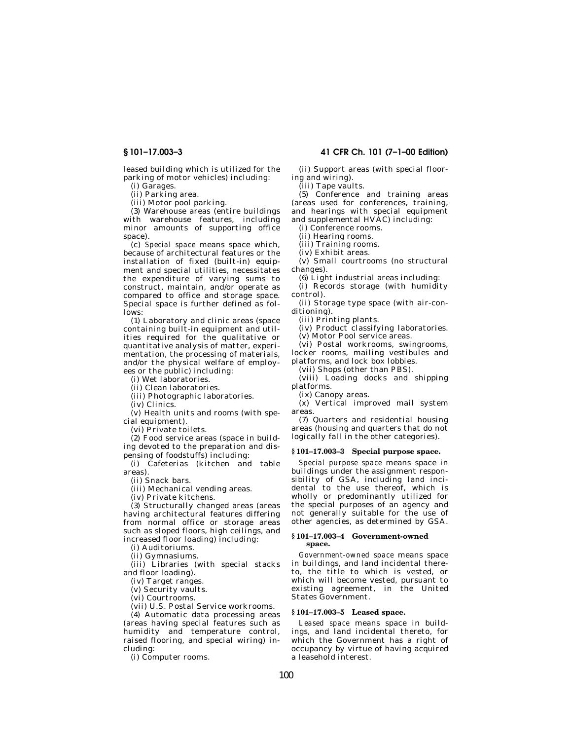leased building which is utilized for the parking of motor vehicles) including:

(i) Garages.

(ii) Parking area.

(iii) Motor pool parking.

(3) Warehouse areas (entire buildings with warehouse features, including minor amounts of supporting office space).

(c) *Special space* means space which, because of architectural features or the installation of fixed (built-in) equipment and special utilities, necessitates the expenditure of varying sums to construct, maintain, and/or operate as compared to office and storage space. Special space is further defined as follows:

(1) Laboratory and clinic areas (space containing built-in equipment and utilities required for the qualitative or quantitative analysis of matter, experimentation, the processing of materials, and/or the physical welfare of employees or the public) including:

(i) Wet laboratories.

(ii) Clean laboratories.

(iii) Photographic laboratories.

(iv) Clinics.

(v) Health units and rooms (with special equipment).

(vi) Private toilets.

(2) Food service areas (space in building devoted to the preparation and dispensing of foodstuffs) including:

(i) Cafeterias (kitchen and table areas).

(ii) Snack bars.

(iii) Mechanical vending areas.

(iv) Private kitchens.

(3) Structurally changed areas (areas having architectural features differing from normal office or storage areas such as sloped floors, high ceilings, and increased floor loading) including:

(i) Auditoriums.

(ii) Gymnasiums.

(iii) Libraries (with special stacks and floor loading).

(iv) Target ranges.

(v) Security vaults.

(vi) Courtrooms.

(vii) U.S. Postal Service workrooms.

(4) Automatic data processing areas (areas having special features such as humidity and temperature control, raised flooring, and special wiring) including:

(i) Computer rooms.

## **§ 101–17.003–3 41 CFR Ch. 101 (7–1–00 Edition)**

(ii) Support areas (with special flooring and wiring).

(iii) Tape vaults.

(5) Conference and training areas (areas used for conferences, training, and hearings with special equipment and supplemental HVAC) including:

(i) Conference rooms.

(ii) Hearing rooms.

(iii) Training rooms.

(iv) Exhibit areas.

(v) Small courtrooms (no structural changes).

(6) Light industrial areas including:

(i) Records storage (with humidity control).

(ii) Storage type space (with air-conditioning).

(iii) Printing plants.

(iv) Product classifying laboratories.

(v) Motor Pool service areas.

(vi) Postal workrooms, swingrooms, locker rooms, mailing vestibules and platforms, and lock box lobbies.

(vii) Shops (other than PBS).

(viii) Loading docks and shipping platforms.

(ix) Canopy areas.

(x) Vertical improved mail system areas.

(7) Quarters and residential housing areas (housing and quarters that do not logically fall in the other categories).

### **§ 101–17.003–3 Special purpose space.**

*Special purpose space* means space in buildings under the assignment responsibility of GSA, including land incidental to the use thereof, which is wholly or predominantly utilized for the special purposes of an agency and not generally suitable for the use of other agencies, as determined by GSA.

### **§ 101–17.003–4 Government-owned space.**

*Government-owned space* means space in buildings, and land incidental thereto, the title to which is vested, or which will become vested, pursuant to existing agreement, in the United States Government.

## **§ 101–17.003–5 Leased space.**

*Leased space* means space in buildings, and land incidental thereto, for which the Government has a right of occupancy by virtue of having acquired a leasehold interest.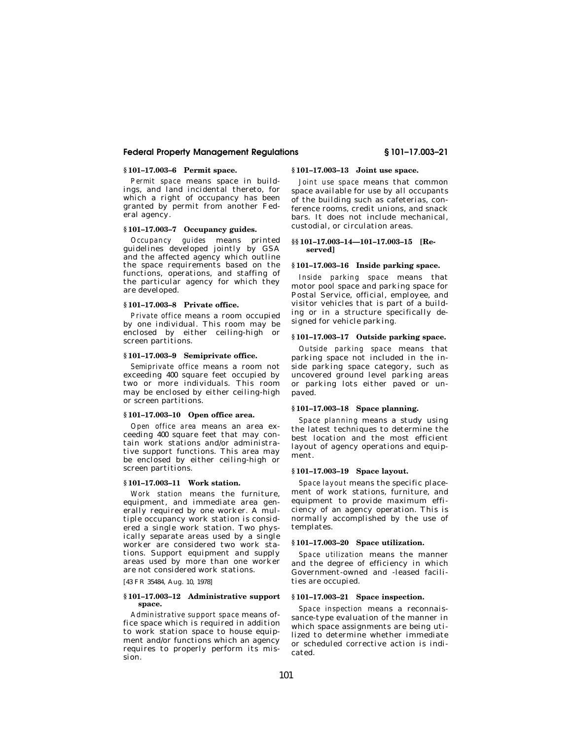## **Federal Property Management Regulations § 101–17.003–21**

## **§ 101–17.003–6 Permit space.**

*Permit space* means space in buildings, and land incidental thereto, for which a right of occupancy has been granted by permit from another Federal agency.

## **§ 101–17.003–7 Occupancy guides.**

*Occupancy guides* means printed guidelines developed jointly by GSA and the affected agency which outline the space requirements based on the functions, operations, and staffing of the particular agency for which they are developed.

## **§ 101–17.003–8 Private office.**

*Private office* means a room occupied by one individual. This room may be enclosed by either ceiling-high or screen partitions.

## **§ 101–17.003–9 Semiprivate office.**

*Semiprivate office* means a room not exceeding 400 square feet occupied by two or more individuals. This room may be enclosed by either ceiling-high or screen partitions.

## **§ 101–17.003–10 Open office area.**

*Open office area* means an area exceeding 400 square feet that may contain work stations and/or administrative support functions. This area may be enclosed by either ceiling-high or screen partitions.

## **§ 101–17.003–11 Work station.**

*Work station* means the furniture, equipment, and immediate area generally required by one worker. A multiple occupancy work station is considered a single work station. Two physically separate areas used by a single worker are considered two work stations. Support equipment and supply areas used by more than one worker are not considered work stations.

[43 FR 35484, Aug. 10, 1978]

## **§ 101–17.003–12 Administrative support space.**

*Administrative support space* means office space which is required in addition to work station space to house equipment and/or functions which an agency requires to properly perform its mission.

## **§ 101–17.003–13 Joint use space.**

*Joint use space* means that common space available for use by all occupants of the building such as cafeterias, conference rooms, credit unions, and snack bars. It does not include mechanical, custodial, or circulation areas.

#### **§§ 101–17.003–14—101–17.003–15 [Reserved]**

## **§ 101–17.003–16 Inside parking space.**

*Inside parking space* means that motor pool space and parking space for Postal Service, official, employee, and visitor vehicles that is part of a building or in a structure specifically designed for vehicle parking.

## **§ 101–17.003–17 Outside parking space.**

*Outside parking space* means that parking space not included in the inside parking space category, such as uncovered ground level parking areas or parking lots either paved or unpaved.

## **§ 101–17.003–18 Space planning.**

*Space planning* means a study using the latest techniques to determine the best location and the most efficient layout of agency operations and equipment.

## **§ 101–17.003–19 Space layout.**

*Space layout* means the specific placement of work stations, furniture, and equipment to provide maximum efficiency of an agency operation. This is normally accomplished by the use of templates.

## **§ 101–17.003–20 Space utilization.**

*Space utilization* means the manner and the degree of efficiency in which Government-owned and -leased facilities are occupied.

## **§ 101–17.003–21 Space inspection.**

*Space inspection* means a reconnaissance-type evaluation of the manner in which space assignments are being utilized to determine whether immediate or scheduled corrective action is indicated.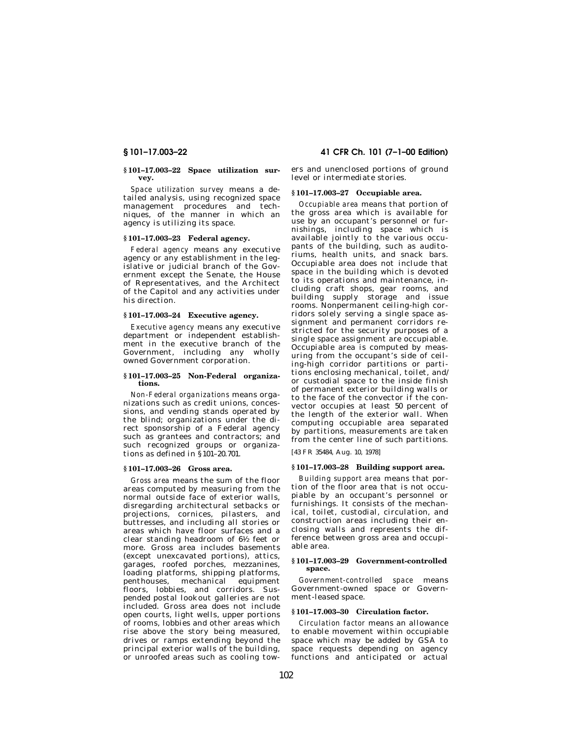## **§ 101–17.003–22 Space utilization survey.**

*Space utilization survey* means a detailed analysis, using recognized space management procedures and techniques, of the manner in which an agency is utilizing its space.

#### **§ 101–17.003–23 Federal agency.**

*Federal agency* means any executive agency or any establishment in the legislative or judicial branch of the Government except the Senate, the House of Representatives, and the Architect of the Capitol and any activities under his direction.

## **§ 101–17.003–24 Executive agency.**

*Executive agency* means any executive department or independent establishment in the executive branch of the Government, including any wholly owned Government corporation.

## **§ 101–17.003–25 Non-Federal organizations.**

*Non-Federal organizations* means organizations such as credit unions, concessions, and vending stands operated by the blind; organizations under the direct sponsorship of a Federal agency such as grantees and contractors; and such recognized groups or organizations as defined in §101–20.701.

## **§ 101–17.003–26 Gross area.**

*Gross area* means the sum of the floor areas computed by measuring from the normal outside face of exterior walls, disregarding architectural setbacks or projections, cornices, pilasters, and buttresses, and including all stories or areas which have floor surfaces and a clear standing headroom of 61⁄2 feet or more. Gross area includes basements (except unexcavated portions), attics, garages, roofed porches, mezzanines, loading platforms, shipping platforms, penthouses, mechanical equipment floors, lobbies, and corridors. Suspended postal lookout galleries are not included. Gross area does not include open courts, light wells, upper portions of rooms, lobbies and other areas which rise above the story being measured, drives or ramps extending beyond the principal exterior walls of the building, or unroofed areas such as cooling tow-

## **§ 101–17.003–22 41 CFR Ch. 101 (7–1–00 Edition)**

ers and unenclosed portions of ground level or intermediate stories.

## **§ 101–17.003–27 Occupiable area.**

*Occupiable area* means that portion of the gross area which is available for use by an occupant's personnel or furnishings, including space which is available jointly to the various occupants of the building, such as auditoriums, health units, and snack bars. Occupiable area does not include that space in the building which is devoted to its operations and maintenance, including craft shops, gear rooms, and building supply storage and issue rooms. Nonpermanent ceiling-high corridors solely serving a single space assignment and permanent corridors restricted for the security purposes of a single space assignment are occupiable. Occupiable area is computed by measuring from the occupant's side of ceiling-high corridor partitions or partitions enclosing mechanical, toilet, and/ or custodial space to the inside finish of permanent exterior building walls or to the face of the convector if the convector occupies at least 50 percent of the length of the exterior wall. When computing occupiable area separated by partitions, measurements are taken from the center line of such partitions.

[43 FR 35484, Aug. 10, 1978]

## **§ 101–17.003–28 Building support area.**

*Building support area* means that portion of the floor area that is not occupiable by an occupant's personnel or furnishings. It consists of the mechanical, toilet, custodial, circulation, and construction areas including their enclosing walls and represents the difference between gross area and occupiable area.

#### **§ 101–17.003–29 Government-controlled space.**

*Government-controlled space* means Government-owned space or Government-leased space.

## **§ 101–17.003–30 Circulation factor.**

*Circulation factor* means an allowance to enable movement within occupiable space which may be added by GSA to space requests depending on agency functions and anticipated or actual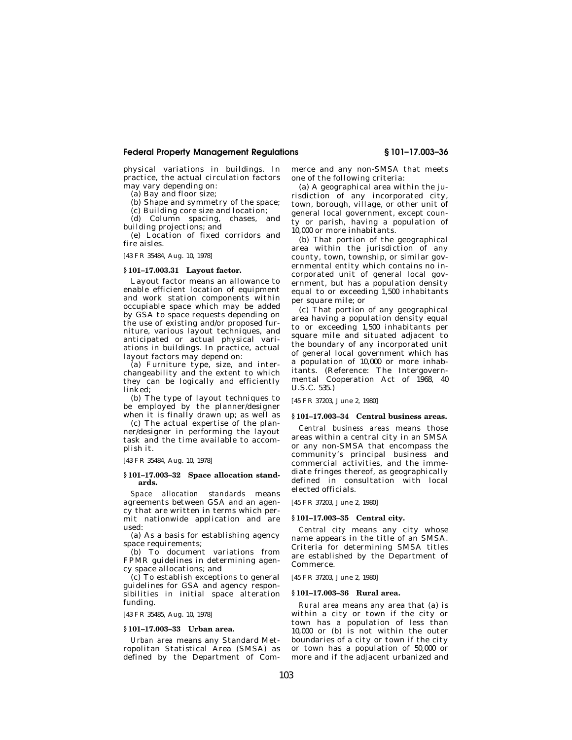## **Federal Property Management Regulations § 101–17.003–36**

physical variations in buildings. In practice, the actual circulation factors may vary depending on:

(a) Bay and floor size;

(b) Shape and symmetry of the space;

(c) Building core size and location;

(d) Column spacing, chases, and building projections; and

(e) Location of fixed corridors and fire aisles.

[43 FR 35484, Aug. 10, 1978]

## **§ 101–17.003.31 Layout factor.**

Layout factor means an allowance to enable efficient location of equipment and work station components within occupiable space which may be added by GSA to space requests depending on the use of existing and/or proposed furniture, various layout techniques, and anticipated or actual physical variations in buildings. In practice, actual layout factors may depend on:

(a) Furniture type, size, and interchangeability and the extent to which they can be logically and efficiently linked;

(b) The type of layout techniques to be employed by the planner/designer when it is finally drawn up; as well as

(c) The actual expertise of the planner/designer in performing the layout task and the time available to accomplish it.

[43 FR 35484, Aug. 10, 1978]

### **§ 101–17.003–32 Space allocation standards.**

*Space allocation standards* means agreements between GSA and an agency that are written in terms which permit nationwide application and are used:

(a) As a basis for establishing agency space requirements;

(b) To document variations from FPMR guidelines in determining agency space allocations; and

(c) To establish exceptions to general guidelines for GSA and agency responsibilities in initial space alteration funding.

[43 FR 35485, Aug. 10, 1978]

#### **§ 101–17.003–33 Urban area.**

*Urban area* means any Standard Metropolitan Statistical Area (SMSA) as defined by the Department of Commerce and any non-SMSA that meets one of the following criteria:

(a) A geographical area within the jurisdiction of any incorporated city, town, borough, village, or other unit of general local government, except county or parish, having a population of 10,000 or more inhabitants.

(b) That portion of the geographical area within the jurisdiction of any county, town, township, or similar governmental entity which contains no incorporated unit of general local government, but has a population density equal to or exceeding 1,500 inhabitants per square mile; or

(c) That portion of any geographical area having a population density equal to or exceeding 1,500 inhabitants per square mile and situated adjacent to the boundary of any incorporated unit of general local government which has a population of 10,000 or more inhabitants. (Reference: The Intergovernmental Cooperation Act of 1968, 40 U.S.C. 535.)

[45 FR 37203, June 2, 1980]

## **§ 101–17.003–34 Central business areas.**

*Central business areas* means those areas within a central city in an SMSA or any non-SMSA that encompass the community's principal business and commercial activities, and the immediate fringes thereof, as geographically defined in consultation with local elected officials.

[45 FR 37203, June 2, 1980]

### **§ 101–17.003–35 Central city.**

*Central city* means any city whose name appears in the title of an SMSA. Criteria for determining SMSA titles are established by the Department of Commerce.

[45 FR 37203, June 2, 1980]

## **§ 101–17.003–36 Rural area.**

*Rural area* means any area that (a) is within a city or town if the city or town has a population of less than 10,000 or (b) is not within the outer boundaries of a city or town if the city or town has a population of 50,000 or more and if the adjacent urbanized and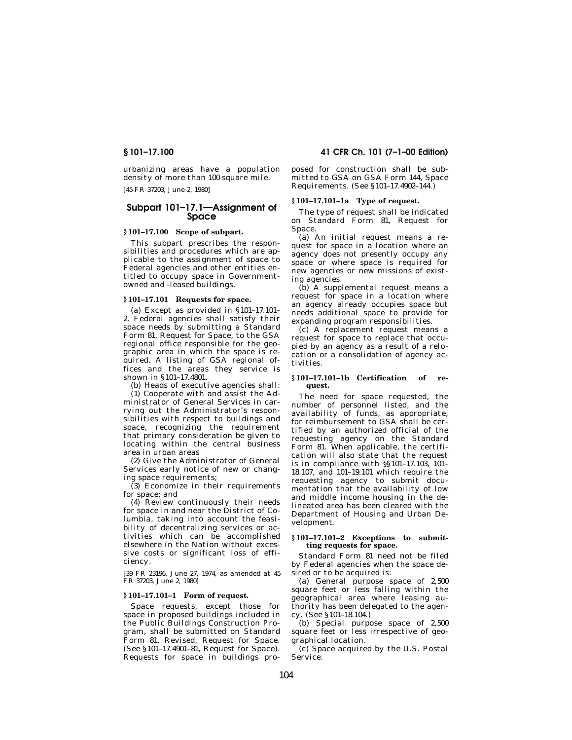urbanizing areas have a population density of more than 100 square mile.

[45 FR 37203, June 2, 1980]

## **Subpart 101–17.1—Assignment of Space**

## **§ 101–17.100 Scope of subpart.**

This subpart prescribes the responsibilities and procedures which are applicable to the assignment of space to Federal agencies and other entities entitled to occupy space in Governmentowned and -leased buildings.

## **§ 101–17.101 Requests for space.**

(a) Except as provided in §101–17.101– 2, Federal agencies shall satisfy their space needs by submitting a Standard Form 81, Request for Space, to the GSA regional office responsible for the geographic area in which the space is required. A listing of GSA regional offices and the areas they service is shown in §101–17.4801.

(b) Heads of executive agencies shall:

(1) Cooperate with and assist the Administrator of General Services in carrying out the Administrator's responsibilities with respect to buildings and space, recognizing the requirement that primary consideration be given to locating within the central business area in urban areas

(2) Give the Administrator of General Services early notice of new or changing space requirements;

(3) Economize in their requirements for space; and

(4) Review continuously their needs for space in and near the District of Columbia, taking into account the feasibility of decentralizing services or activities which can be accomplished elsewhere in the Nation without excessive costs or significant loss of efficiency.

[39 FR 23196, June 27, 1974, as amended at 45 FR 37203, June 2, 1980]

## **§ 101–17.101–1 Form of request.**

Space requests, except those for space in proposed buildings included in the Public Buildings Construction Program, shall be submitted on Standard Form 81, Revised, Request for Space. (See §101–17.4901–81, Request for Space). Requests for space in buildings pro-

## **§ 101–17.100 41 CFR Ch. 101 (7–1–00 Edition)**

posed for construction shall be submitted to GSA on GSA Form 144, Space Requirements. (See §101–17.4902–144.)

## **§ 101–17.101–1a Type of request.**

The type of request shall be indicated on Standard Form 81, Request for Space.

(a) An initial request means a request for space in a location where an agency does not presently occupy any space or where space is required for new agencies or new missions of existing agencies.

(b) A supplemental request means a request for space in a location where an agency already occupies space but needs additional space to provide for expanding program responsibilities.

(c) A replacement request means a request for space to replace that occupied by an agency as a result of a relocation or a consolidation of agency activities.

## **§ 101–17.101–1b Certification of request.**

The need for space requested, the number of personnel listed, and the availability of funds, as appropriate, for reimbursement to GSA shall be certified by an authorized official of the requesting agency on the Standard Form 81. When applicable, the certification will also state that the request is in compliance with §§101–17.103, 101– 18.107, and 101–19.101 which require the requesting agency to submit documentation that the availability of low and middle income housing in the delineated area has been cleared with the Department of Housing and Urban Development.

## **§ 101–17.101–2 Exceptions to submitting requests for space.**

Standard Form 81 need not be filed by Federal agencies when the space desired or to be acquired is:

(a) General purpose space of 2,500 square feet or less falling within the geographical area where leasing authority has been delegated to the agency. (See §101–18.104.)

(b) Special purpose space of 2,500 square feet or less irrespective of geographical location.

(c) Space acquired by the U.S. Postal Service.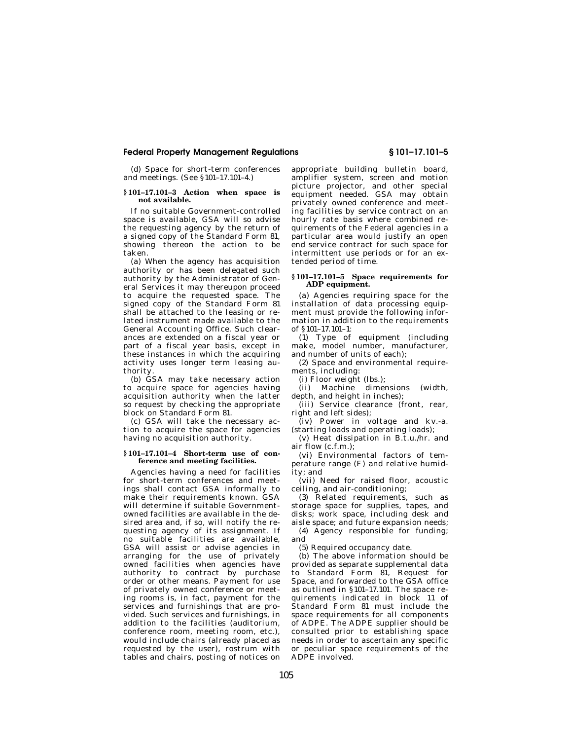## **Federal Property Management Regulations § 101–17.101–5**

(d) Space for short-term conferences and meetings. (See §101–17.101–4.)

#### **§ 101–17.101–3 Action when space is not available.**

If no suitable Government-controlled space is available, GSA will so advise the requesting agency by the return of a signed copy of the Standard Form 81, showing thereon the action to be taken.

(a) When the agency has acquisition authority or has been delegated such authority by the Administrator of General Services it may thereupon proceed to acquire the requested space. The signed copy of the Standard Form 81 shall be attached to the leasing or related instrument made available to the General Accounting Office. Such clearances are extended on a fiscal year or part of a fiscal year basis, except in these instances in which the acquiring activity uses longer term leasing authority.

(b) GSA may take necessary action to acquire space for agencies having acquisition authority when the latter so request by checking the appropriate block on Standard Form 81.

(c) GSA will take the necessary action to acquire the space for agencies having no acquisition authority.

### **§ 101–17.101–4 Short-term use of conference and meeting facilities.**

Agencies having a need for facilities for short-term conferences and meetings shall contact GSA informally to make their requirements known. GSA will determine if suitable Governmentowned facilities are available in the desired area and, if so, will notify the requesting agency of its assignment. If no suitable facilities are available, GSA will assist or advise agencies in arranging for the use of privately owned facilities when agencies have authority to contract by purchase order or other means. Payment for use of privately owned conference or meeting rooms is, in fact, payment for the services and furnishings that are provided. Such services and furnishings, in addition to the facilities (auditorium, conference room, meeting room, etc.), would include chairs (already placed as requested by the user), rostrum with tables and chairs, posting of notices on

appropriate building bulletin board, amplifier system, screen and motion picture projector, and other special equipment needed. GSA may obtain privately owned conference and meeting facilities by service contract on an hourly rate basis where combined requirements of the Federal agencies in a particular area would justify an open end service contract for such space for intermittent use periods or for an extended period of time.

### **§ 101–17.101–5 Space requirements for ADP equipment.**

(a) Agencies requiring space for the installation of data processing equipment must provide the following information in addition to the requirements of  $$101-17.101-1$ 

(1) Type of equipment (including make, model number, manufacturer, and number of units of each);

(2) Space and environmental requirements, including:

(i) Floor weight (lbs.);

(ii) Machine dimensions (width, depth, and height in inches);

(iii) Service clearance (front, rear, right and left sides);

(iv) Power in voltage and kv.-a. (starting loads and operating loads);

(v) Heat dissipation in B.t.u./hr. and air flow  $(c.f.m.):$ 

(vi) Environmental factors of temperature range (F) and relative humidity; and

(vii) Need for raised floor, acoustic ceiling, and air-conditioning;

(3) Related requirements, such as storage space for supplies, tapes, and disks; work space, including desk and aisle space; and future expansion needs;

(4) Agency responsible for funding; and

(5) Required occupancy date.

(b) The above information should be provided as separate supplemental data to Standard Form 81, Request for Space, and forwarded to the GSA office as outlined in §101–17.101. The space requirements indicated in block 11 of Standard Form 81 must include the space requirements for all components of ADPE. The ADPE supplier should be consulted prior to establishing space needs in order to ascertain any specific or peculiar space requirements of the ADPE involved.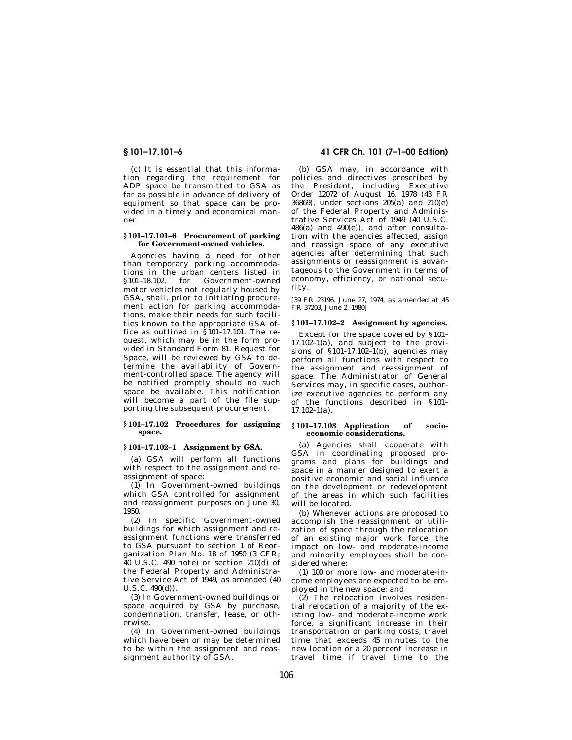(c) It is essential that this information regarding the requirement for ADP space be transmitted to GSA as far as possible in advance of delivery of equipment so that space can be provided in a timely and economical manner.

## **§ 101–17.101–6 Procurement of parking for Government-owned vehicles.**

Agencies having a need for other than temporary parking accommodations in the urban centers listed in §101–18.102, for Government-owned motor vehicles not regularly housed by GSA, shall, prior to initiating procurement action for parking accommodations, make their needs for such facilities known to the appropriate GSA office as outlined in §101–17.101. The request, which may be in the form provided in Standard Form 81. Request for Space, will be reviewed by GSA to determine the availability of Government-controlled space. The agency will be notified promptly should no such space be available. This notification will become a part of the file supporting the subsequent procurement.

## **§ 101–17.102 Procedures for assigning space.**

## **§ 101–17.102–1 Assignment by GSA.**

(a) GSA will perform all functions with respect to the assignment and reassignment of space:

(1) In Government-owned buildings which GSA controlled for assignment and reassignment purposes on June 30, 1950.

(2) In specific Government-owned buildings for which assignment and reassignment functions were transferred to GSA pursuant to section 1 of Reorganization Plan No. 18 of 1950 (3 CFR; 40 U.S.C. 490 note) or section 210(d) of the Federal Property and Administrative Service Act of 1949, as amended (40 U.S.C. 490(d)).

(3) In Government-owned buildings or space acquired by GSA by purchase, condemnation, transfer, lease, or otherwise.

(4) In Government-owned buildings which have been or may be determined to be within the assignment and reassignment authority of GSA.

## **§ 101–17.101–6 41 CFR Ch. 101 (7–1–00 Edition)**

(b) GSA may, in accordance with policies and directives prescribed by the President, including Executive Order 12072 of August 16, 1978 (43 FR 36869), under sections 205(a) and 210(e) of the Federal Property and Administrative Services Act of 1949 (40 U.S.C. 486(a) and 490(e)), and after consultation with the agencies affected, assign and reassign space of any executive agencies after determining that such assignments or reassignment is advantageous to the Government in terms of economy, efficiency, or national security.

[39 FR 23196, June 27, 1974, as amended at 45 FR 37203, June 2, 1980]

## **§ 101–17.102–2 Assignment by agencies.**

Except for the space covered by §101–  $17.102 - 1(a)$ , and subject to the provisions of  $$101-17.102-1(b)$ , agencies may perform all functions with respect to the assignment and reassignment of space. The Administrator of General Services may, in specific cases, authorize executive agencies to perform any of the functions described in §101–  $17.102-1(a)$ .

## **§ 101–17.103 Application of socioeconomic considerations.**

(a) Agencies shall cooperate with GSA in coordinating proposed programs and plans for buildings and space in a manner designed to exert a positive economic and social influence on the development or redevelopment of the areas in which such facilities will be located.

(b) Whenever actions are proposed to accomplish the reassignment or utilization of space through the relocation of an existing major work force, the impact on low- and moderate-income and minority employees shall be considered where:

(1) 100 or more low- and moderate-income employees are expected to be employed in the new space; and

(2) The relocation involves residential relocation of a majority of the existing low- and moderate-income work force, a significant increase in their transportation or parking costs, travel time that exceeds 45 minutes to the new location or a 20 percent increase in travel time if travel time to the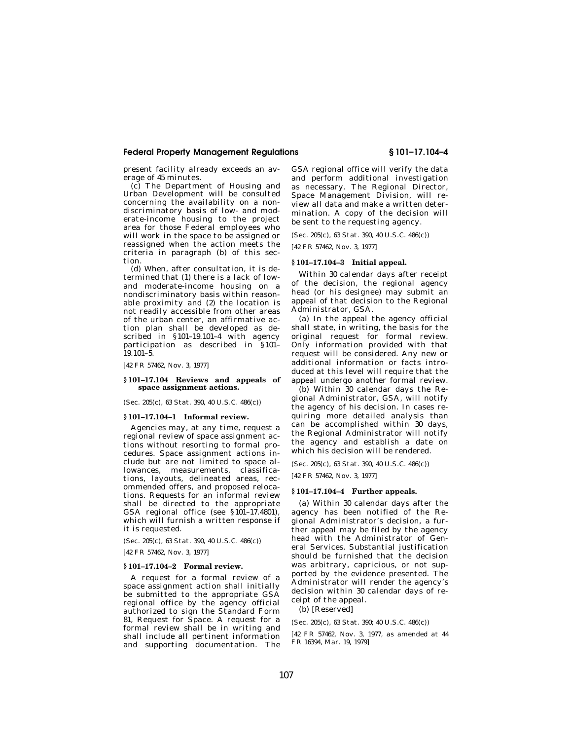## **Federal Property Management Regulations § 101–17.104–4**

present facility already exceeds an average of 45 minutes.

(c) The Department of Housing and Urban Development will be consulted concerning the availability on a nondiscriminatory basis of low- and moderate-income housing to the project area for those Federal employees who will work in the space to be assigned or reassigned when the action meets the criteria in paragraph (b) of this section.

(d) When, after consultation, it is determined that (1) there is a lack of lowand moderate-income housing on a nondiscriminatory basis within reasonable proximity and (2) the location is not readily accessible from other areas of the urban center, an affirmative action plan shall be developed as described in §101–19.101–4 with agency participation as described in §101–  $19.101 - 5$ .

[42 FR 57462, Nov. 3, 1977]

### **§ 101–17.104 Reviews and appeals of space assignment actions.**

(Sec. 205(c), 63 Stat. 390, 40 U.S.C. 486(c))

## **§ 101–17.104–1 Informal review.**

Agencies may, at any time, request a regional review of space assignment actions without resorting to formal procedures. Space assignment actions include but are not limited to space allowances, measurements, classifications, layouts, delineated areas, recommended offers, and proposed relocations. Requests for an informal review shall be directed to the appropriate GSA regional office (see §101–17.4801), which will furnish a written response if it is requested.

(Sec. 205(c), 63 Stat. 390, 40 U.S.C. 486(c)) [42 FR 57462, Nov. 3, 1977]

### **§ 101–17.104–2 Formal review.**

A request for a formal review of a space assignment action shall initially be submitted to the appropriate GSA regional office by the agency official authorized to sign the Standard Form 81, Request for Space. A request for a formal review shall be in writing and shall include all pertinent information and supporting documentation. The

GSA regional office will verify the data and perform additional investigation as necessary. The Regional Director, Space Management Division, will review all data and make a written determination. A copy of the decision will be sent to the requesting agency.

(Sec. 205(c), 63 Stat. 390, 40 U.S.C. 486(c))

[42 FR 57462, Nov. 3, 1977]

## **§ 101–17.104–3 Initial appeal.**

Within 30 calendar days after receipt of the decision, the regional agency head (or his designee) may submit an appeal of that decision to the Regional Administrator, GSA.

(a) In the appeal the agency official shall state, in writing, the basis for the original request for formal review. Only information provided with that request will be considered. Any new or additional information or facts introduced at this level will require that the appeal undergo another formal review.

(b) Within 30 calendar days the Regional Administrator, GSA, will notify the agency of his decision. In cases requiring more detailed analysis than can be accomplished within 30 days, the Regional Administrator will notify the agency and establish a date on which his decision will be rendered.

(Sec. 205(c), 63 Stat. 390, 40 U.S.C. 486(c))

[42 FR 57462, Nov. 3, 1977]

## **§ 101–17.104–4 Further appeals.**

(a) Within 30 calendar days after the agency has been notified of the Regional Administrator's decision, a further appeal may be filed by the agency head with the Administrator of General Services. Substantial justification should be furnished that the decision was arbitrary, capricious, or not supported by the evidence presented. The Administrator will render the agency's decision within 30 calendar days of receipt of the appeal.

(b) [Reserved]

(Sec. 205(c), 63 Stat. 390; 40 U.S.C. 486(c))

[42 FR 57462, Nov. 3, 1977, as amended at 44 FR 16394, Mar. 19, 1979]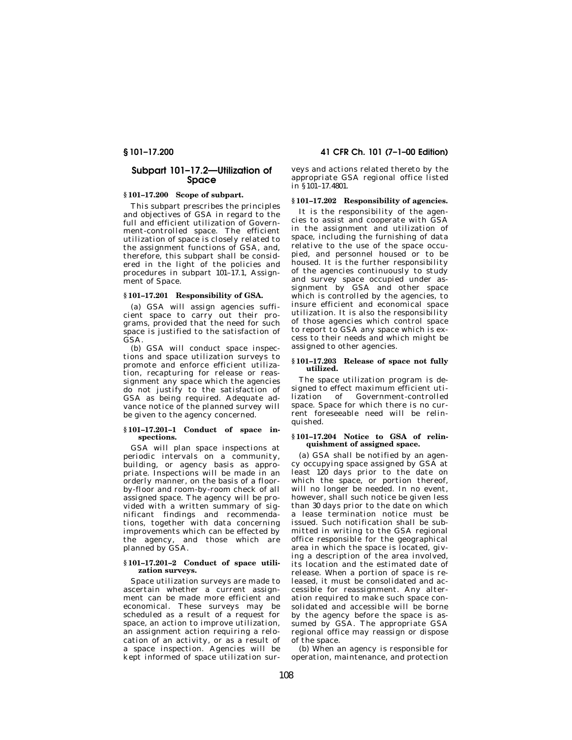## **Subpart 101–17.2—Utilization of Space**

## **§ 101–17.200 Scope of subpart.**

This subpart prescribes the principles and objectives of GSA in regard to the full and efficient utilization of Government-controlled space. The efficient utilization of space is closely related to the assignment functions of GSA, and, therefore, this subpart shall be considered in the light of the policies and procedures in subpart 101–17.1, Assignment of Space.

## **§ 101–17.201 Responsibility of GSA.**

(a) GSA will assign agencies sufficient space to carry out their programs, provided that the need for such space is justified to the satisfaction of GSA.

(b) GSA will conduct space inspections and space utilization surveys to promote and enforce efficient utilization, recapturing for release or reassignment any space which the agencies do not justify to the satisfaction of GSA as being required. Adequate advance notice of the planned survey will be given to the agency concerned.

### **§ 101–17.201–1 Conduct of space inspections.**

GSA will plan space inspections at periodic intervals on a community, building, or agency basis as appropriate. Inspections will be made in an orderly manner, on the basis of a floorby-floor and room-by-room check of all assigned space. The agency will be provided with a written summary of significant findings and recommendations, together with data concerning improvements which can be effected by the agency, and those which are planned by GSA.

## **§ 101–17.201–2 Conduct of space utilization surveys.**

Space utilization surveys are made to ascertain whether a current assignment can be made more efficient and economical. These surveys may be scheduled as a result of a request for space, an action to improve utilization, an assignment action requiring a relocation of an activity, or as a result of a space inspection. Agencies will be kept informed of space utilization sur-

**§ 101–17.200 41 CFR Ch. 101 (7–1–00 Edition)**

veys and actions related thereto by the appropriate GSA regional office listed in §101–17.4801.

## **§ 101–17.202 Responsibility of agencies.**

It is the responsibility of the agencies to assist and cooperate with GSA in the assignment and utilization of space, including the furnishing of data relative to the use of the space occupied, and personnel housed or to be housed. It is the further responsibility of the agencies continuously to study and survey space occupied under assignment by GSA and other space which is controlled by the agencies, to insure efficient and economical space utilization. It is also the responsibility of those agencies which control space to report to GSA any space which is excess to their needs and which might be assigned to other agencies.

## **§ 101–17.203 Release of space not fully utilized.**

The space utilization program is designed to effect maximum efficient utilization of Government-controlled space. Space for which there is no current foreseeable need will be relinquished.

## **§ 101–17.204 Notice to GSA of relinquishment of assigned space.**

(a) GSA shall be notified by an agency occupying space assigned by GSA at least 120 days prior to the date on which the space, or portion thereof, will no longer be needed. In no event, however, shall such notice be given less than 30 days prior to the date on which a lease termination notice must be issued. Such notification shall be submitted in writing to the GSA regional office responsible for the geographical area in which the space is located, giving a description of the area involved, its location and the estimated date of release. When a portion of space is released, it must be consolidated and accessible for reassignment. Any alteration required to make such space consolidated and accessible will be borne by the agency before the space is assumed by GSA. The appropriate GSA regional office may reassign or dispose of the space.

(b) When an agency is responsible for operation, maintenance, and protection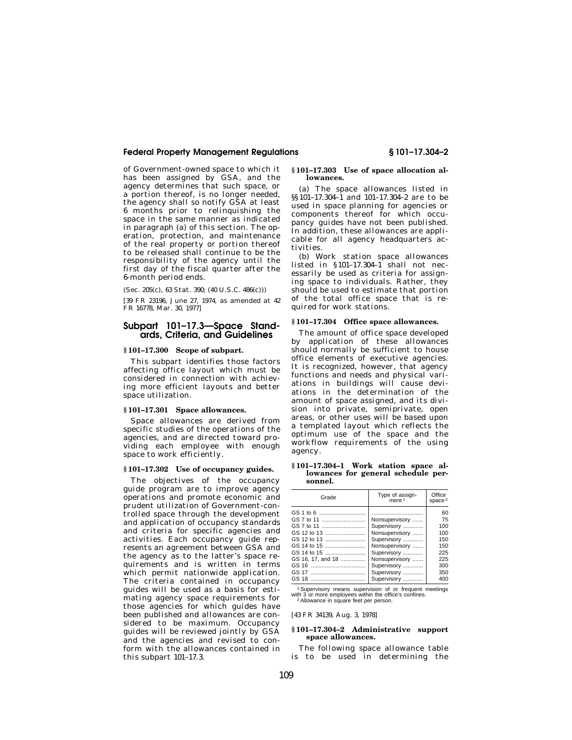## **Federal Property Management Regulations § 101–17.304–2**

of Government-owned space to which it has been assigned by GSA, and the agency determines that such space, or a portion thereof, is no longer needed, the agency shall so notify GSA at least 6 months prior to relinquishing the space in the same manner as indicated in paragraph (a) of this section. The operation, protection, and maintenance of the real property or portion thereof to be released shall continue to be the responsibility of the agency until the first day of the fiscal quarter after the 6-month period ends.

(Sec. 205(c), 63 Stat. 390; (40 U.S.C. 486(c)))

[39 FR 23196, June 27, 1974, as amended at 42 FR 16778, Mar. 30, 1977]

## **Subpart 101–17.3—Space Standards, Criteria, and Guidelines**

## **§ 101–17.300 Scope of subpart.**

This subpart identifies those factors affecting office layout which must be considered in connection with achieving more efficient layouts and better space utilization.

## **§ 101–17.301 Space allowances.**

Space allowances are derived from specific studies of the operations of the agencies, and are directed toward providing each employee with enough space to work efficiently.

## **§ 101–17.302 Use of occupancy guides.**

The objectives of the occupancy guide program are to improve agency operations and promote economic and prudent utilization of Government-controlled space through the development and application of occupancy standards and criteria for specific agencies and activities. Each occupancy guide represents an agreement between GSA and the agency as to the latter's space requirements and is written in terms which permit nationwide application. The criteria contained in occupancy guides will be used as a basis for estimating agency space requirements for those agencies for which guides have been published and allowances are considered to be maximum. Occupancy guides will be reviewed jointly by GSA and the agencies and revised to conform with the allowances contained in this subpart 101–17.3.

## **§ 101–17.303 Use of space allocation allowances.**

(a) The space allowances listed in §§101–17.304–1 and 101–17.304–2 are to be used in space planning for agencies or components thereof for which occupancy guides have not been published. In addition, these allowances are applicable for all agency headquarters activities.

(b) Work station space allowances listed in §101–17.304–1 shall not necessarily be used as criteria for assigning space to individuals. Rather, they should be used to estimate that portion of the total office space that is required for work stations.

## **§ 101–17.304 Office space allowances.**

The amount of office space developed by application of these allowances should normally be sufficient to house office elements of executive agencies. It is recognized, however, that agency functions and needs and physical variations in buildings will cause deviations in the determination of the amount of space assigned, and its division into private, semiprivate, open areas, or other uses will be based upon a templated layout which reflects the optimum use of the space and the workflow requirements of the using agency.

#### **§ 101–17.304–1 Work station space allowances for general schedule personnel.**

| Grade                                                                                                                  | Type of assign-<br>ment <sup>1</sup>                                                                                                                           | Office<br>space $2$                                                     |
|------------------------------------------------------------------------------------------------------------------------|----------------------------------------------------------------------------------------------------------------------------------------------------------------|-------------------------------------------------------------------------|
| GS 1 to 6<br>GS 7 to 11<br>GS 7 to 11<br>GS 12 to 13<br>GS 12 to 13<br>GS 14 to 15<br>GS 14 to 15<br>GS 16, 17, and 18 | Nonsupervisory<br>Supervisory<br>Nonsupervisory<br>Supervisory<br>Nonsupervisory<br>Supervisory<br>Nonsupervisory<br>Supervisory<br>Supervisory<br>Supervisory | 60<br>75<br>100<br>100<br>150<br>150<br>225<br>225<br>300<br>350<br>400 |
|                                                                                                                        |                                                                                                                                                                |                                                                         |

1Supervisory means supervision of or frequent meetings with 3 or more employees within the office's confines.<br><sup>2</sup>Allowance in square feet per person.

[43 FR 34139, Aug. 3, 1978]

## **§ 101–17.304–2 Administrative support space allowances.**

The following space allowance table is to be used in determining the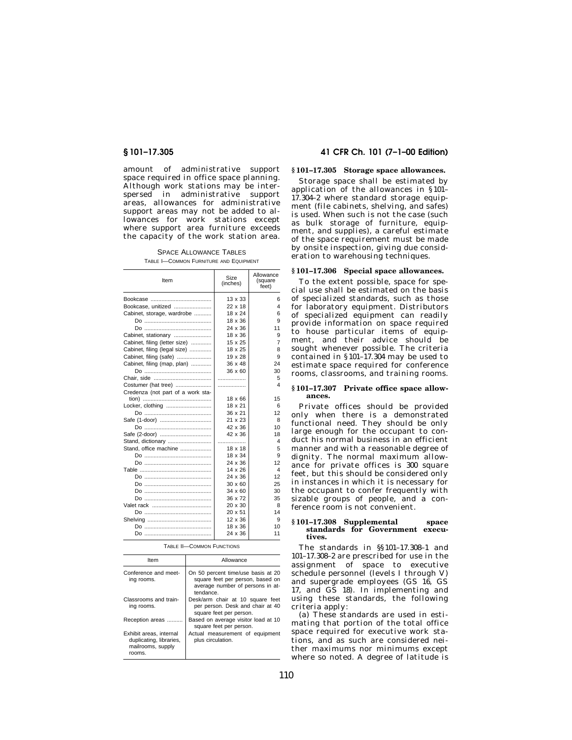amount of administrative support space required in office space planning. Although work stations may be interspersed in administrative support areas, allowances for administrative support areas may not be added to allowances for work stations except where support area furniture exceeds the capacity of the work station area.

SPACE ALLOWANCE TABLES TABLE I—COMMON FURNITURE AND EQUIPMENT

| Item                              | Size<br>(inches) | Allowance<br>(square<br>feet) |
|-----------------------------------|------------------|-------------------------------|
|                                   | $13 \times 33$   | 6                             |
| Bookcase, unitized                | 22 x 18          | 4                             |
| Cabinet, storage, wardrobe        | 18 x 24          | 6                             |
|                                   | 18 x 36          | 9                             |
|                                   | 24 x 36          | 11                            |
| Cabinet, stationary               | 18 x 36          | 9                             |
| Cabinet, filing (letter size)     | 15 x 25          | 7                             |
| Cabinet, filing (legal size)      | 18 x 25          | 8                             |
| Cabinet, filing (safe)            | 19 x 28          | 9                             |
| Cabinet, filing (map, plan)       | 36 x 48          | 24                            |
|                                   | 36 x 60          | 30                            |
|                                   | .                | 5                             |
| Costumer (hat tree)               | .                | 4                             |
| Credenza (not part of a work sta- |                  |                               |
|                                   | 18 x 66          | 15                            |
| Locker, clothing                  | 18 x 21          | 6                             |
|                                   | 36 x 21          | 12                            |
| Safe (1-door)                     | 21 x 23          | 8                             |
|                                   | 42 x 36          | 10                            |
| Safe (2-door)                     | 42 x 36          | 18                            |
| Stand, dictionary                 | .                | 4                             |
| Stand, office machine             | $18 \times 18$   | 5                             |
|                                   | 18 x 34          | 9                             |
|                                   | 24 x 36          | 12                            |
|                                   | $14 \times 26$   | $\overline{4}$                |
|                                   | $24 \times 36$   | 12                            |
|                                   | $30 \times 60$   | 25                            |
|                                   | $34 \times 60$   | 30                            |
|                                   | 36 x 72          | 35                            |
|                                   | 20 x 30          | 8                             |
|                                   | 20 x 51          | 14                            |
|                                   | 12 x 36          | 9                             |
|                                   | 18 x 36          | 10                            |
|                                   | 24 x 36          | 11                            |
|                                   |                  |                               |

TABLE II—COMMON FUNCTIONS

| Item                                                                              | Allowance                                                                                                              |
|-----------------------------------------------------------------------------------|------------------------------------------------------------------------------------------------------------------------|
| Conference and meet-<br>ing rooms.                                                | On 50 percent time/use basis at 20<br>square feet per person, based on<br>average number of persons in at-<br>tendance |
| Classrooms and train-<br>ing rooms.                                               | Desk/arm chair at 10 square feet<br>per person. Desk and chair at 40<br>square feet per person.                        |
| Reception areas                                                                   | Based on average visitor load at 10<br>square feet per person.                                                         |
| Exhibit areas, internal<br>duplicating, libraries,<br>mailrooms, supply<br>rooms. | Actual measurement of equipment<br>plus circulation.                                                                   |

## **§ 101–17.305 41 CFR Ch. 101 (7–1–00 Edition)**

## **§ 101–17.305 Storage space allowances.**

Storage space shall be estimated by application of the allowances in §101– 17.304–2 where standard storage equipment (file cabinets, shelving, and safes) is used. When such is not the case (such as bulk storage of furniture, equipment, and supplies), a careful estimate of the space requirement must be made by onsite inspection, giving due consideration to warehousing techniques.

## **§ 101–17.306 Special space allowances.**

To the extent possible, space for special use shall be estimated on the basis of specialized standards, such as those for laboratory equipment. Distributors of specialized equipment can readily provide information on space required to house particular items of equipment, and their advice should be sought whenever possible. The criteria contained in §101–17.304 may be used to estimate space required for conference rooms, classrooms, and training rooms.

# **§ 101–17.307 Private office space allow- ances.**

Private offices should be provided only when there is a demonstrated functional need. They should be only large enough for the occupant to conduct his normal business in an efficient manner and with a reasonable degree of dignity. The normal maximum allowance for private offices is 300 square feet, but this should be considered only in instances in which it is necessary for the occupant to confer frequently with sizable groups of people, and a conference room is not convenient.

#### **§ 101–17.308 Supplemental space standards for Government executives.**

The standards in §§101–17.308–1 and 101–17.308–2 are prescribed for use in the assignment of space to executive schedule personnel (levels I through V) and supergrade employees (GS 16, GS 17, and GS 18). In implementing and using these standards, the following criteria apply:

(a) These standards are used in estimating that portion of the total office space required for executive work stations, and as such are considered neither maximums nor minimums except where so noted. A degree of latitude is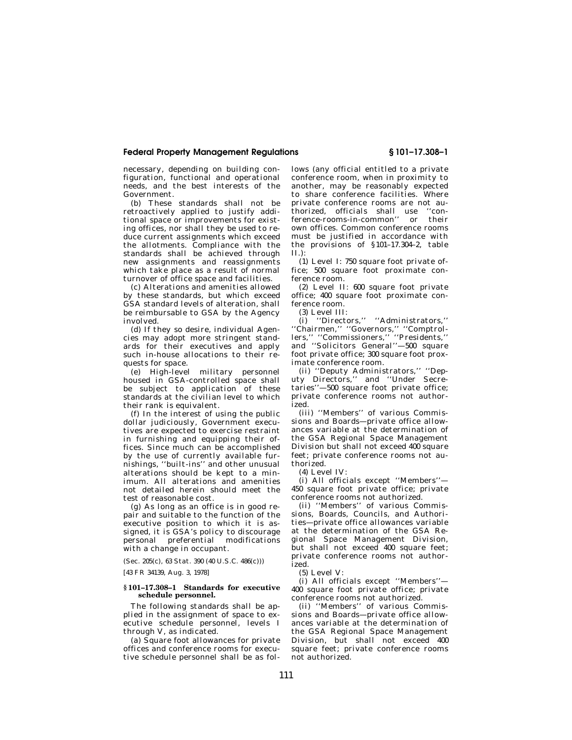## **Federal Property Management Regulations § 101–17.308–1**

necessary, depending on building configuration, functional and operational needs, and the best interests of the Government.

(b) These standards shall not be retroactively applied to justify additional space or improvements for existing offices, nor shall they be used to reduce current assignments which exceed the allotments. Compliance with the standards shall be achieved through new assignments and reassignments which take place as a result of normal turnover of office space and facilities.

(c) Alterations and amenities allowed by these standards, but which exceed GSA standard levels of alteration, shall be reimbursable to GSA by the Agency involved.

(d) If they so desire, individual Agencies may adopt more stringent standards for their executives and apply such in-house allocations to their requests for space.

(e) High-level military personnel housed in GSA-controlled space shall be subject to application of these standards at the civilian level to which their rank is equivalent.

(f) In the interest of using the public dollar judiciously, Government executives are expected to exercise restraint in furnishing and equipping their offices. Since much can be accomplished by the use of currently available furnishings, ''built-ins'' and other unusual alterations should be kept to a minimum. All alterations and amenities not detailed herein should meet the test of reasonable cost.

(g) As long as an office is in good repair and suitable to the function of the executive position to which it is assigned, it is GSA's policy to discourage personal preferential modifications with a change in occupant.

(Sec. 205(c), 63 Stat. 390 (40 U.S.C. 486(c)))

[43 FR 34139, Aug. 3, 1978]

## **§ 101–17.308–1 Standards for executive schedule personnel.**

The following standards shall be applied in the assignment of space to executive schedule personnel, levels I through V, as indicated.

(a) Square foot allowances for private offices and conference rooms for executive schedule personnel shall be as follows (any official entitled to a private conference room, when in proximity to another, may be reasonably expected to share conference facilities. Where private conference rooms are not authorized, officials shall use ''conference-rooms-in-common'' or their own offices. Common conference rooms must be justified in accordance with the provisions of §101–17.304–2, table II.):

(1) Level I: 750 square foot private office; 500 square foot proximate conference room.

(2) Level II: 600 square foot private office; 400 square foot proximate conference room.

(3) Level III:

(i) ''Directors,'' ''Administrators,'' ''Chairmen,'' ''Governors,'' ''Comptrollers,'' ''Commissioners,'' ''Presidents,'' and ''Solicitors General''—500 square foot private office; 300 square foot proximate conference room.

(ii) ''Deputy Administrators,'' ''Deputy Directors,'' and ''Under Secretaries''—500 square foot private office; private conference rooms not authorized.

(iii) ''Members'' of various Commissions and Boards—private office allowances variable at the determination of the GSA Regional Space Management Division but shall not exceed 400 square feet; private conference rooms not authorized.

(4) Level IV:

(i) All officials except ''Members''— 450 square foot private office; private conference rooms not authorized.

(ii) ''Members'' of various Commissions, Boards, Councils, and Authorities—private office allowances variable at the determination of the GSA Regional Space Management Division, but shall not exceed 400 square feet; private conference rooms not authorized.

(5) Level V:

(i) All officials except ''Members''— 400 square foot private office; private conference rooms not authorized.

(ii) ''Members'' of various Commissions and Boards—private office allowances variable at the determination of the GSA Regional Space Management Division, but shall not exceed 400 square feet; private conference rooms not authorized.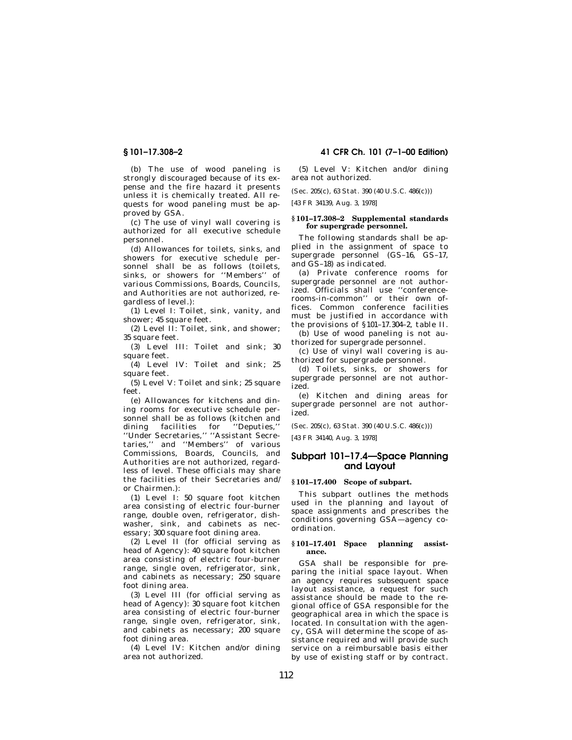(b) The use of wood paneling is strongly discouraged because of its expense and the fire hazard it presents unless it is chemically treated. All requests for wood paneling must be approved by GSA.

(c) The use of vinyl wall covering is authorized for all executive schedule personnel.

(d) Allowances for toilets, sinks, and showers for executive schedule personnel shall be as follows (toilets, sinks, or showers for ''Members'' of various Commissions, Boards, Councils, and Authorities are not authorized, regardless of level.):

(1) Level I: Toilet, sink, vanity, and shower; 45 square feet.

(2) Level II: Toilet, sink, and shower; 35 square feet.

(3) Level III: Toilet and sink; 30 square feet.

(4) Level IV: Toilet and sink; 25 square feet.

(5) Level V: Toilet and sink; 25 square feet.

(e) Allowances for kitchens and dining rooms for executive schedule personnel shall be as follows (kitchen and dining facilities for ''Deputies,'' ''Under Secretaries,'' ''Assistant Secretaries,'' and ''Members'' of various Commissions, Boards, Councils, and Authorities are not authorized, regardless of level. These officials may share the facilities of their Secretaries and/ or Chairmen.):

(1) Level I: 50 square foot kitchen area consisting of electric four-burner range, double oven, refrigerator, dishwasher, sink, and cabinets as necessary; 300 square foot dining area.

(2) Level II (for official serving as head of Agency): 40 square foot kitchen area consisting of electric four-burner range, single oven, refrigerator, sink, and cabinets as necessary; 250 square foot dining area.

(3) Level III (for official serving as head of Agency): 30 square foot kitchen area consisting of electric four-burner range, single oven, refrigerator, sink, and cabinets as necessary; 200 square foot dining area.

(4) Level IV: Kitchen and/or dining area not authorized.

**§ 101–17.308–2 41 CFR Ch. 101 (7–1–00 Edition)**

(5) Level V: Kitchen and/or dining area not authorized.

(Sec. 205(c), 63 Stat. 390 (40 U.S.C. 486(c)))

[43 FR 34139, Aug. 3, 1978]

## **§ 101–17.308–2 Supplemental standards for supergrade personnel.**

The following standards shall be applied in the assignment of space to supergrade personnel (GS–16, GS–17, and GS–18) as indicated.

(a) Private conference rooms for supergrade personnel are not authorized. Officials shall use ''conferencerooms-in-common'' or their own offices. Common conference facilities must be justified in accordance with the provisions of §101–17.304–2, table II.

(b) Use of wood paneling is not authorized for supergrade personnel.

(c) Use of vinyl wall covering is authorized for supergrade personnel.

(d) Toilets, sinks, or showers for supergrade personnel are not authorized.

(e) Kitchen and dining areas for supergrade personnel are not authorized.

(Sec. 205(c), 63 Stat. 390 (40 U.S.C. 486(c)))

[43 FR 34140, Aug. 3, 1978]

## **Subpart 101–17.4—Space Planning and Layout**

## **§ 101–17.400 Scope of subpart.**

This subpart outlines the methods used in the planning and layout of space assignments and prescribes the conditions governing GSA—agency coordination.

## **§ 101–17.401 Space planning assistance.**

GSA shall be responsible for preparing the initial space layout. When an agency requires subsequent space layout assistance, a request for such assistance should be made to the regional office of GSA responsible for the geographical area in which the space is located. In consultation with the agency, GSA will determine the scope of assistance required and will provide such service on a reimbursable basis either by use of existing staff or by contract.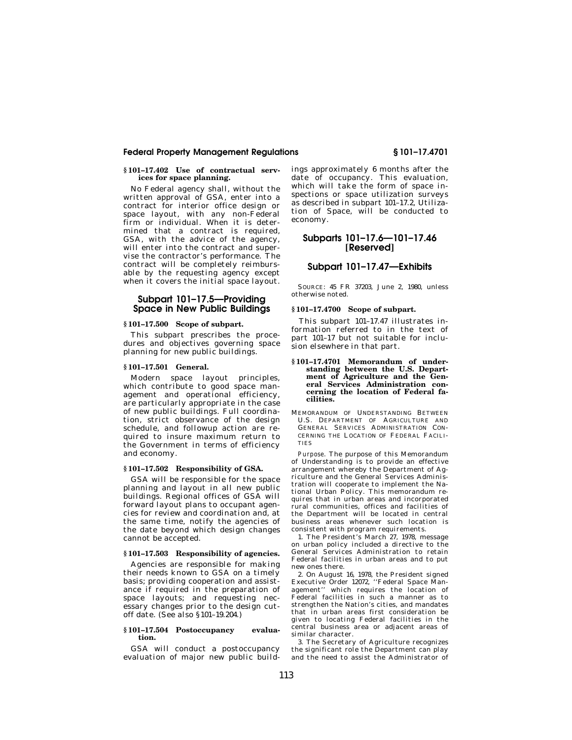## **Federal Property Management Regulations § 101–17.4701**

## **§ 101–17.402 Use of contractual services for space planning.**

No Federal agency shall, without the written approval of GSA, enter into a contract for interior office design or space layout, with any non-Federal firm or individual. When it is determined that a contract is required, GSA, with the advice of the agency, will enter into the contract and supervise the contractor's performance. The contract will be completely reimbursable by the requesting agency except when it covers the initial space layout.

## **Subpart 101–17.5—Providing Space in New Public Buildings**

## **§ 101–17.500 Scope of subpart.**

This subpart prescribes the procedures and objectives governing space planning for new public buildings.

#### **§ 101–17.501 General.**

Modern space layout principles, which contribute to good space management and operational efficiency, are particularly appropriate in the case of new public buildings. Full coordination, strict observance of the design schedule, and followup action are required to insure maximum return to the Government in terms of efficiency and economy.

## **§ 101–17.502 Responsibility of GSA.**

GSA will be responsible for the space planning and layout in all new public buildings. Regional offices of GSA will forward layout plans to occupant agencies for review and coordination and, at the same time, notify the agencies of the date beyond which design changes cannot be accepted.

## **§ 101–17.503 Responsibility of agencies.**

Agencies are responsible for making their needs known to GSA on a timely basis; providing cooperation and assistance if required in the preparation of space layouts; and requesting necessary changes prior to the design cutoff date. (See also §101–19.204.)

### **§ 101–17.504 Postoccupancy evaluation.**

GSA will conduct a postoccupancy evaluation of major new public buildings approximately 6 months after the date of occupancy. This evaluation, which will take the form of space inspections or space utilization surveys as described in subpart 101–17.2, Utilization of Space, will be conducted to economy.

## **Subparts 101–17.6—101–17.46 [Reserved]**

## **Subpart 101–17.47—Exhibits**

SOURCE: 45 FR 37203, June 2, 1980, unless otherwise noted.

## **§ 101–17.4700 Scope of subpart.**

This subpart 101–17.47 illustrates information referred to in the text of part 101–17 but not suitable for inclusion elsewhere in that part.

- **§ 101–17.4701 Memorandum of understanding between the U.S. Department of Agriculture and the General Services Administration concerning the location of Federal facilities.**
- MEMORANDUM OF UNDERSTANDING BETWEEN U.S. DEPARTMENT OF AGRICULTURE AND GENERAL SERVICES ADMINISTRATION CON-CERNING THE LOCATION OF FEDERAL FACILI-TIES

*Purpose*. The purpose of this Memorandum of Understanding is to provide an effective arrangement whereby the Department of Agriculture and the General Services Administration will cooperate to implement the National Urban Policy. This memorandum requires that in urban areas and incorporated rural communities, offices and facilities of the Department will be located in central business areas whenever such location is consistent with program requirements.

1. The President's March 27, 1978, message on urban policy included a directive to the General Services Administration to retain Federal facilities in urban areas and to put new ones there.

2. On August 16, 1978, the President signed Executive Order 12072, ''Federal Space Management'' which requires the location of Federal facilities in such a manner as to strengthen the Nation's cities, and mandates that in urban areas first consideration be given to locating Federal facilities in the central business area or adjacent areas of similar character.

3. The Secretary of Agriculture recognizes the significant role the Department can play and the need to assist the Administrator of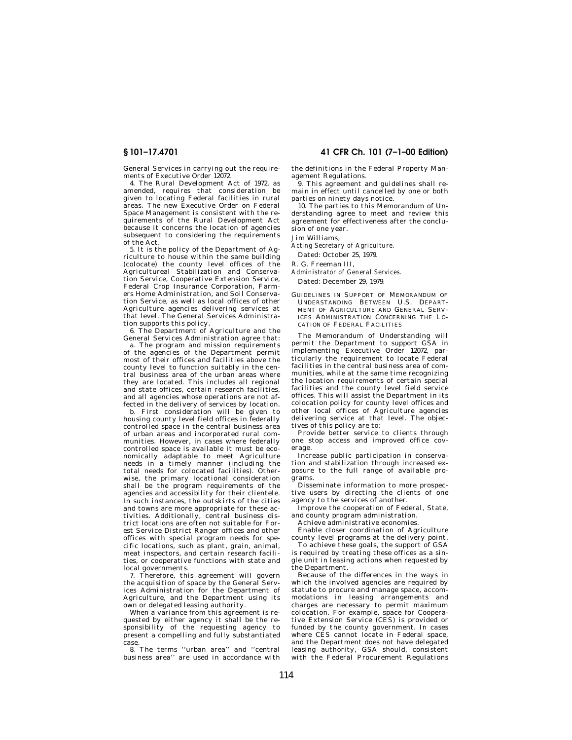**§ 101–17.4701 41 CFR Ch. 101 (7–1–00 Edition)**

General Services in carrying out the requirements of Executive Order 12072.

4. The Rural Development Act of 1972, as amended, requires that consideration be given to locating Federal facilities in rural areas. The new Executive Order on Federal Space Management is consistent with the requirements of the Rural Development Act because it concerns the location of agencies subsequent to considering the requirements of the Act.

5. It is the policy of the Department of Agriculture to house within the same building (colocate) the county level offices of the Agricultureal Stabilization and Conservation Service, Cooperative Extension Service, Federal Crop Insurance Corporation, Farmers Home Administration, and Soil Conservation Service, as well as local offices of other Agriculture agencies delivering services at that level. The General Services Administration supports this policy.

6. The Department of Agriculture and the General Services Administration agree that:

a. The program and mission requirements of the agencies of the Department permit most of their offices and facilities above the county level to function suitably in the central business area of the urban areas where they are located. This includes all regional and state offices, certain research facilities, and all agencies whose operations are not affected in the delivery of services by location.

b. First consideration will be given to housing county level field offices in federally controlled space in the central business area of urban areas and incorporated rural communities. However, in cases where federally controlled space is available it must be economically adaptable to meet Agriculture needs in a timely manner (including the total needs for colocated facilities). Otherwise, the primary locational consideration shall be the program requirements of the agencies and accessibility for their clientele. In such instances, the outskirts of the cities and towns are more appropriate for these activities. Additionally, central business district locations are often not suitable for Forest Service District Ranger offices and other offices with special program needs for specific locations, such as plant, grain, animal, meat inspectors, and certain research facilities, or cooperative functions with state and local governments.

7. Therefore, this agreement will govern the acquisition of space by the General Services Administration for the Department of Agriculture, and the Department using its own or delegated leasing authority.

When a variance from this agreement is requested by either agency it shall be the responsibility of the requesting agency to present a compelling and fully substantiated .<br>case.

8. The terms ''urban area'' and ''central business area'' are used in accordance with the definitions in the Federal Property Management Regulations.

9. This agreement and guidelines shall remain in effect until cancelled by one or both parties on ninety days notice.

10. The parties to this Memorandum of Understanding agree to meet and review this agreement for effectiveness after the conclusion of one year.

Jim Williams,

*Acting Secretary of Agriculture.*

Dated: October 25, 1979.

R. G. Freeman III,

- *Administrator of General Services.* Dated: December 29, 1979.
- GUIDELINES IN SUPPORT OF MEMORANDUM OF UNDERSTANDING BETWEEN U.S. DEPART-MENT OF AGRICULTURE AND GENERAL SERV-ICES ADMINISTRATION CONCERNING THE LO-CATION OF FEDERAL FACILITIES

The Memorandum of Understanding will permit the Department to support GSA in implementing Executive Order 12072, particularly the requirement to locate Federal facilities in the central business area of communities, while at the same time recognizing the location requirements of certain special facilities and the county level field service offices. This will assist the Department in its colocation policy for county level offices and other local offices of Agriculture agencies delivering service at that level. The objectives of this policy are to:

Provide better service to clients through one stop access and improved office coverage.

Increase public participation in conservation and stabilization through increased exposure to the full range of available programs.

Disseminate information to more prospective users by directing the clients of one agency to the services of another.

Improve the cooperation of Federal, State, and county program administration.

Achieve administrative economies.

Enable closer coordination of Agriculture county level programs at the delivery point.

To achieve these goals, the support of GSA is required by treating these offices as a single unit in leasing actions when requested by he Department.

Because of the differences in the ways in which the involved agencies are required by statute to procure and manage space, accommodations in leasing arrangements and charges are necessary to permit maximum colocation. For example, space for Cooperative Extension Service (CES) is provided or funded by the county government. In cases where CES cannot locate in Federal space, and the Department does not have delegated leasing authority, GSA should, consistent with the Federal Procurement Regulations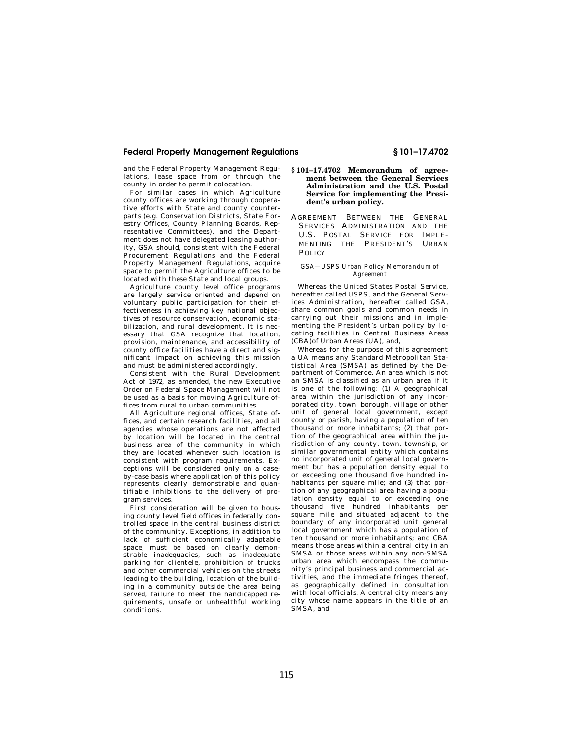## **Federal Property Management Regulations § 101–17.4702**

and the Federal Property Management Regulations, lease space from or through the county in order to permit colocation.

For similar cases in which Agriculture county offices are working through cooperative efforts with State and county counterparts (e.g. Conservation Districts, State Forestry Offices, County Planning Boards, Representative Committees), and the Department does not have delegated leasing authority, GSA should, consistent with the Federal Procurement Regulations and the Federal Property Management Regulations, acquire space to permit the Agriculture offices to be located with these State and local groups.

Agriculture county level office programs are largely service oriented and depend on voluntary public participation for their effectiveness in achieving key national objectives of resource conservation, economic stabilization, and rural development. It is necessary that GSA recognize that location, provision, maintenance, and accessibility of county office facilities have a direct and significant impact on achieving this mission and must be administered accordingly.

Consistent with the Rural Development Act of 1972, as amended, the new Executive Order on Federal Space Management will not be used as a basis for moving Agriculture offices from rural to urban communities.

All Agriculture regional offices, State offices, and certain research facilities, and all agencies whose operations are not affected by location will be located in the central business area of the community in which they are located whenever such location is consistent with program requirements. Exceptions will be considered only on a caseby-case basis where application of this policy represents clearly demonstrable and quantifiable inhibitions to the delivery of program services.

First consideration will be given to housing county level field offices in federally controlled space in the central business district of the community. Exceptions, in addition to lack of sufficient economically adaptable space, must be based on clearly demonstrable inadequacies, such as inadequate parking for clientele, prohibition of trucks and other commercial vehicles on the streets leading to the building, location of the building in a community outside the area being served, failure to meet the handicapped requirements, unsafe or unhealthful working conditions.

### **§ 101–17.4702 Memorandum of agreement between the General Services Administration and the U.S. Postal Service for implementing the President's urban policy.**

AGREEMENT BETWEEN THE GENERAL SERVICES ADMINISTRATION AND THE U.S. POSTAL SERVICE FOR IMPLE-MENTING THE PRESIDENT'S URBAN POLICY

### *GSA—USPS Urban Policy Memorandum of Agreement*

Whereas the United States Postal Service, hereafter called USPS, and the General Services Administration, hereafter called GSA, share common goals and common needs in carrying out their missions and in implementing the President's urban policy by locating facilities in Central Business Areas (CBA)of Urban Areas (UA), and,

Whereas for the purpose of this agreement a UA means any Standard Metropolitan Statistical Area (SMSA) as defined by the Department of Commerce. An area which is not an SMSA is classified as an urban area if it is one of the following: (1) A geographical area within the jurisdiction of any incorporated city, town, borough, village or other unit of general local government, except county or parish, having a population of ten thousand or more inhabitants; (2) that portion of the geographical area within the jurisdiction of any county, town, township, or similar governmental entity which contains no incorporated unit of general local government but has a population density equal to or exceeding one thousand five hundred inhabitants per square mile; and (3) that portion of any geographical area having a population density equal to or exceeding one thousand five hundred inhabitants per square mile and situated adjacent to the boundary of any incorporated unit general local government which has a population of ten thousand or more inhabitants; and CBA means those areas within a central city in an SMSA or those areas within any non-SMSA urban area which encompass the community's principal business and commercial activities, and the immediate fringes thereof, as geographically defined in consultation with local officials. A central city means any city whose name appears in the title of an SMSA, and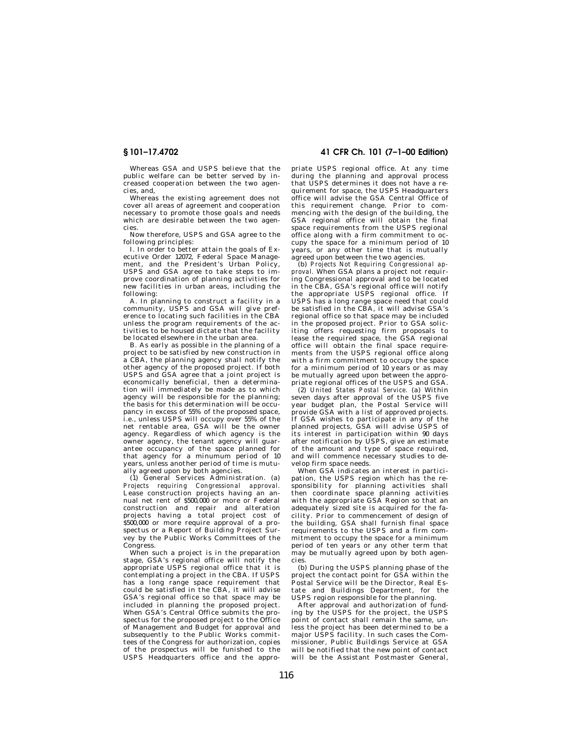Whereas GSA and USPS believe that the public welfare can be better served by in-.<br>creased cooperation between the two agencies, and,

Whereas the existing agreement does not cover all areas of agreement and cooperation necessary to promote those goals and needs which are desirable between the two agencies.

Now therefore, USPS and GSA agree to the following principles: I. In order to better attain the goals of Ex-

ecutive Order 12072, Federal Space Management, and the President's Urban Policy, USPS and GSA agree to take steps to improve coordination of planning activities for new facilities in urban areas, including the following:

A. In planning to construct a facility in a community, USPS and GSA will give preference to locating such facilities in the CBA unless the program requirements of the activities to be housed dictate that the facility be located elsewhere in the urban area.

B. As early as possible in the planning of a project to be satisfied by new construction in a CBA, the planning agency shall notify the other agency of the proposed project. If both USPS and GSA agree that a joint project is economically beneficial, then a determination will immediately be made as to which agency will be responsible for the planning; the basis for this determination will be occupancy in excess of 55% of the proposed space, i.e., unless USPS will occupy over 55% of the net rentable area, GSA will be the owner agency. Regardless of which agency is the owner agency, the tenant agency will guarantee occupancy of the space planned for that agency for a minumum period of 10 years, unless another period of time is mutually agreed upon by both agencies.

(1) General Services Administration. (a) *Projects requiring Congressional approval.* Lease construction projects having an annual net rent of \$500,000 or more or Federal construction and repair and alteration projects having a total project cost of \$500,000 or more require approval of a prospectus or a Report of Building Project Survey by the Public Works Committees of the Congress.

When such a project is in the preparation stage, GSA's regional office will notify the appropriate USPS regional office that it is contemplating a project in the CBA. If USPS has a long range space requirement that could be satisfied in the CBA, it will advise GSA's regional office so that space may be included in planning the proposed project. When GSA's Central Office submits the prospectus for the proposed project to the Office of Management and Budget for approval and subsequently to the Public Works committees of the Congress for authorization, copies of the prospectus will be funished to the USPS Headquarters office and the appro-

## **§ 101–17.4702 41 CFR Ch. 101 (7–1–00 Edition)**

priate USPS regional office. At any time during the planning and approval process that USPS determines it does not have a requirement for space, the USPS Headquarters office will advise the GSA Central Office of this requirement change. Prior to commencing with the design of the building, the GSA regional office will obtain the final space requirements from the USPS regional office along with a firm commitment to occupy the space for a minimum period of 10 years, or any other time that is mutually agreed upon between the two agencies.

(b) *Projects Not Requiring Congressional approval.* When GSA plans a project not requir-ing Congressional approval and to be located in the CBA, GSA's regional office will notify the appropriate USPS regional office. If USPS has a long range space need that could be satisfied in the CBA, it will advise GSA's regional office so that space may be included in the proposed project. Prior to GSA soliciting offers requesting firm proposals to lease the required space, the GSA regional office will obtain the final space requirements from the USPS regional office along with a firm commitment to occupy the space for a minimum period of 10 years or as may be mutually agreed upon between the appropriate regional offices of the USPS and GSA.

(2) *United States Postal Service.* (a) Within seven days after approval of the USPS five year budget plan, the Postal Service will provide GSA with a list of approved projects. If GSA wishes to participate in any of the planned projects, GSA will advise USPS of its interest in participation within 90 days after notification by USPS, give an estimate of the amount and type of space required, and will commence necessary studies to develop firm space needs.

When GSA indicates an interest in participation, the USPS region which has the responsibility for planning activities shall then coordinate space planning activities with the appropriate GSA Region so that an adequately sized site is acquired for the facility. Prior to commencement of design of the building, GSA shall furnish final space requirements to the USPS and a firm commitment to occupy the space for a minimum period of ten years or any other term that may be mutually agreed upon by both agencies.

(b) During the USPS planning phase of the project the contact point for GSA within the Postal Service will be the Director, Real Estate and Buildings Department, for the USPS region responsible for the planning.

After approval and authorization of funding by the USPS for the project, the USPS point of contact shall remain the same, unless the project has been determined to be a major USPS facility. In such cases the Commissioner, Public Buildings Service at GSA will be notified that the new point of contact will be the Assistant Postmaster General.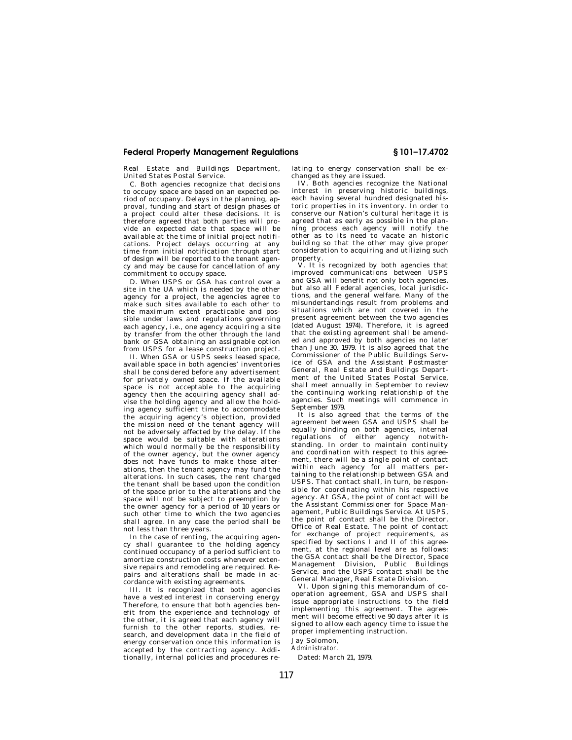## **Federal Property Management Regulations § 101–17.4702**

Real Estate and Buildings Department, United States Postal Service.

C. Both agencies recognize that decisions to occupy space are based on an expected period of occupany. Delays in the planning, approval, funding and start of design phases of a project could alter these decisions. It is therefore agreed that both parties will provide an expected date that space will be available at the time of initial project notifications. Project delays occurring at any time from initial notification through start of design will be reported to the tenant agency and may be cause for cancellation of any commitment to occupy space.

D. When USPS or GSA has control over a site in the UA which is needed by the other agency for a project, the agencies agree to make such sites available to each other to the maximum extent practicable and possible under laws and regulations governing each agency, i.e., one agency acquiring a site by transfer from the other through the land bank or GSA obtaining an assignable option from USPS for a lease construction project.

II. When GSA or USPS seeks leased space, available space in both agencies' inventories shall be considered before any advertisement for privately owned space. If the available space is not acceptable to the acquiring agency then the acquiring agency shall advise the holding agency and allow the holding agency sufficient time to accommodate the acquiring agency's objection, provided the mission need of the tenant agency will not be adversely affected by the delay. If the space would be suitable with alterations which would normally be the responsibility of the owner agency, but the owner agency does not have funds to make those alterations, then the tenant agency may fund the alterations. In such cases, the rent charged the tenant shall be based upon the condition of the space prior to the alterations and the space will not be subject to preemption by the owner agency for a period of 10 years or such other time to which the two agencies shall agree. In any case the period shall be not less than three years.

In the case of renting, the acquiring agency shall guarantee to the holding agency continued occupancy of a period sufficient to amortize construction costs whenever extensive repairs and remodeling are required. Repairs and alterations shall be made in accordance with existing agreements.

III. It is recognized that both agencies have a vested interest in conserving energy Therefore, to ensure that both agencies benefit from the experience and technology of the other, it is agreed that each agency will furnish to the other reports, studies, research, and development data in the field of energy conservation once this information is accepted by the contracting agency. Additionally, internal policies and procedures relating to energy conservation shall be exchanged as they are issued.

IV. Both agencies recognize the National interest in preserving historic buildings, each having several hundred designated historic properties in its inventory. In order to conserve our Nation's cultural heritage it is agreed that as early as possible in the planning process each agency will notify the other as to its need to vacate an historic building so that the other may give proper consideration to acquiring and utilizing such property.

V. It is recognized by both agencies that improved communications between USPS and GSA will benefit not only both agencies, but also all Federal agencies, local jurisdictions, and the general welfare. Many of the misundertandings result from problems and situations which are not covered in the present agreement between the two agencies (dated August 1974). Therefore, it is agreed that the existing agreement shall be amended and approved by both agencies no later than June 30, 1979. It is also agreed that the Commissioner of the Public Buildings Service of GSA and the Assistant Postmaster General, Real Estate and Buildings Department of the United States Postal Service, shall meet annually in September to review the continuing working relationship of the agencies. Such meetings will commence in September 1979.

It is also agreed that the terms of the agreement between GSA and USPS shall be equally binding on both agencies, internal regulations of either agency notwithstanding. In order to maintain continuity and coordination with respect to this agreement, there will be a single point of contact within each agency for all matters pertaining to the relationship between GSA and USPS. That contact shall, in turn, be responsible for coordinating within his respective agency. At GSA, the point of contact will be the Assistant Commissioner for Space Management, Public Buildings Service. At USPS, the point of contact shall be the Director, Office of Real Estate. The point of contact for exchange of project requirements, as specified by sections I and II of this agreement, at the regional level are as follows: the GSA contact shall be the Director, Space Management Division, Public Buildings Service, and the USPS contact shall be the General Manager, Real Estate Division.

VI. Upon signing this memorandum of cooperation agreement, GSA and USPS shall issue appropriate instructions to the field implementing this agreement. The agreement will become effective 90 days after it is signed to allow each agency time to issue the proper implementing instruction.

Jay Solomon,

*Administrator.*

Dated: March 21, 1979.